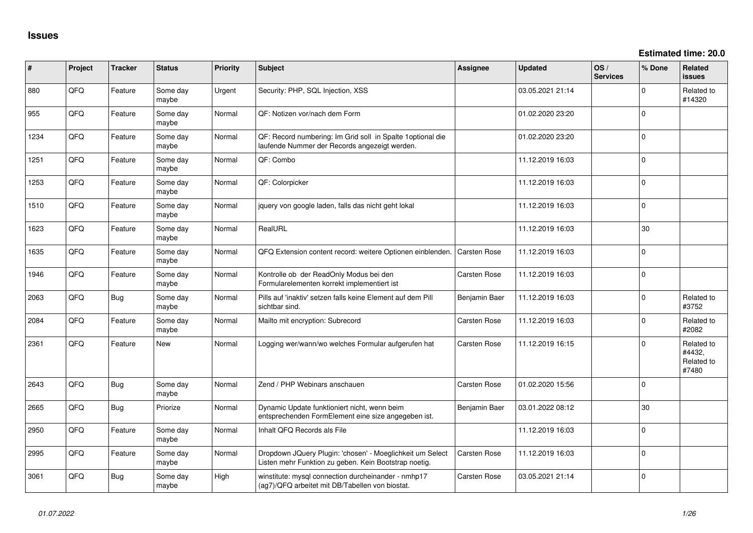**Estimated time: 20.0**

| #    | Project | <b>Tracker</b> | <b>Status</b>     | <b>Priority</b> | <b>Subject</b>                                                                                                     | <b>Assignee</b>     | <b>Updated</b>   | OS/<br><b>Services</b> | % Done   | <b>Related</b><br><b>issues</b>             |
|------|---------|----------------|-------------------|-----------------|--------------------------------------------------------------------------------------------------------------------|---------------------|------------------|------------------------|----------|---------------------------------------------|
| 880  | QFQ     | Feature        | Some day<br>maybe | Urgent          | Security: PHP, SQL Injection, XSS                                                                                  |                     | 03.05.2021 21:14 |                        | $\Omega$ | Related to<br>#14320                        |
| 955  | QFQ     | Feature        | Some day<br>maybe | Normal          | QF: Notizen vor/nach dem Form                                                                                      |                     | 01.02.2020 23:20 |                        | $\Omega$ |                                             |
| 1234 | QFQ     | Feature        | Some day<br>maybe | Normal          | QF: Record numbering: Im Grid soll in Spalte 1optional die<br>laufende Nummer der Records angezeigt werden.        |                     | 01.02.2020 23:20 |                        | $\Omega$ |                                             |
| 1251 | QFQ     | Feature        | Some day<br>maybe | Normal          | QF: Combo                                                                                                          |                     | 11.12.2019 16:03 |                        | 0        |                                             |
| 1253 | QFQ     | Feature        | Some day<br>maybe | Normal          | QF: Colorpicker                                                                                                    |                     | 11.12.2019 16:03 |                        | $\Omega$ |                                             |
| 1510 | QFQ     | Feature        | Some day<br>maybe | Normal          | jquery von google laden, falls das nicht geht lokal                                                                |                     | 11.12.2019 16:03 |                        | $\Omega$ |                                             |
| 1623 | QFQ     | Feature        | Some day<br>maybe | Normal          | RealURL                                                                                                            |                     | 11.12.2019 16:03 |                        | 30       |                                             |
| 1635 | QFQ     | Feature        | Some day<br>maybe | Normal          | QFQ Extension content record: weitere Optionen einblenden.                                                         | <b>Carsten Rose</b> | 11.12.2019 16:03 |                        | 0        |                                             |
| 1946 | QFQ     | Feature        | Some day<br>maybe | Normal          | Kontrolle ob der ReadOnly Modus bei den<br>Formularelementen korrekt implementiert ist                             | Carsten Rose        | 11.12.2019 16:03 |                        | $\Omega$ |                                             |
| 2063 | QFQ     | <b>Bug</b>     | Some day<br>maybe | Normal          | Pills auf 'inaktiv' setzen falls keine Element auf dem Pill<br>sichtbar sind.                                      | Benjamin Baer       | 11.12.2019 16:03 |                        | $\Omega$ | Related to<br>#3752                         |
| 2084 | QFQ     | Feature        | Some day<br>maybe | Normal          | Mailto mit encryption: Subrecord                                                                                   | Carsten Rose        | 11.12.2019 16:03 |                        | 0        | Related to<br>#2082                         |
| 2361 | QFQ     | Feature        | <b>New</b>        | Normal          | Logging wer/wann/wo welches Formular aufgerufen hat                                                                | Carsten Rose        | 11.12.2019 16:15 |                        | $\Omega$ | Related to<br>#4432,<br>Related to<br>#7480 |
| 2643 | QFQ     | <b>Bug</b>     | Some day<br>maybe | Normal          | Zend / PHP Webinars anschauen                                                                                      | <b>Carsten Rose</b> | 01.02.2020 15:56 |                        | $\Omega$ |                                             |
| 2665 | QFQ     | <b>Bug</b>     | Priorize          | Normal          | Dynamic Update funktioniert nicht, wenn beim<br>entsprechenden FormElement eine size angegeben ist.                | Benjamin Baer       | 03.01.2022 08:12 |                        | 30       |                                             |
| 2950 | QFQ     | Feature        | Some day<br>maybe | Normal          | Inhalt QFQ Records als File                                                                                        |                     | 11.12.2019 16:03 |                        | 0        |                                             |
| 2995 | QFQ     | Feature        | Some day<br>maybe | Normal          | Dropdown JQuery Plugin: 'chosen' - Moeglichkeit um Select<br>Listen mehr Funktion zu geben. Kein Bootstrap noetig. | Carsten Rose        | 11.12.2019 16:03 |                        | $\Omega$ |                                             |
| 3061 | QFQ     | <b>Bug</b>     | Some day<br>maybe | High            | winstitute: mysql connection durcheinander - nmhp17<br>(ag7)/QFQ arbeitet mit DB/Tabellen von biostat.             | Carsten Rose        | 03.05.2021 21:14 |                        | $\Omega$ |                                             |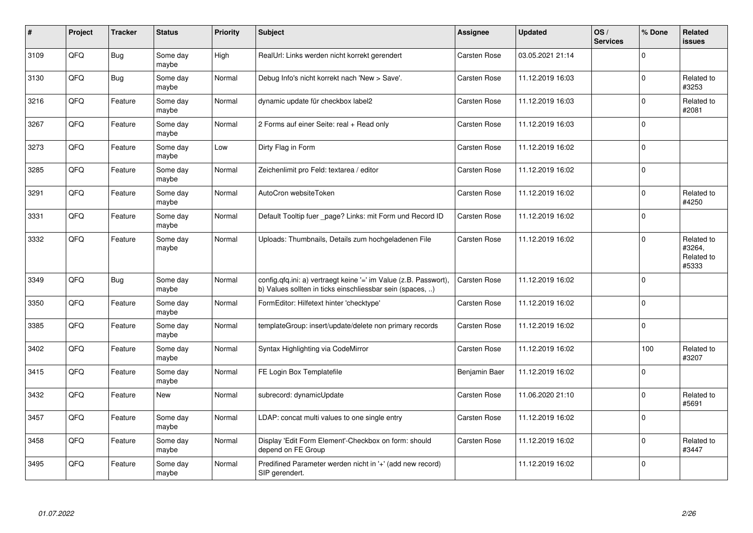| $\sharp$ | Project    | <b>Tracker</b> | <b>Status</b>     | <b>Priority</b> | <b>Subject</b>                                                                                                                | Assignee            | <b>Updated</b>   | OS/<br><b>Services</b> | % Done         | <b>Related</b><br><b>issues</b>             |
|----------|------------|----------------|-------------------|-----------------|-------------------------------------------------------------------------------------------------------------------------------|---------------------|------------------|------------------------|----------------|---------------------------------------------|
| 3109     | QFQ        | <b>Bug</b>     | Some day<br>maybe | High            | RealUrl: Links werden nicht korrekt gerendert                                                                                 | <b>Carsten Rose</b> | 03.05.2021 21:14 |                        | $\mathbf 0$    |                                             |
| 3130     | QFQ        | <b>Bug</b>     | Some day<br>maybe | Normal          | Debug Info's nicht korrekt nach 'New > Save'.                                                                                 | Carsten Rose        | 11.12.2019 16:03 |                        | $\overline{0}$ | Related to<br>#3253                         |
| 3216     | QFQ        | Feature        | Some day<br>maybe | Normal          | dynamic update für checkbox label2                                                                                            | <b>Carsten Rose</b> | 11.12.2019 16:03 |                        | $\mathbf{0}$   | Related to<br>#2081                         |
| 3267     | QFQ        | Feature        | Some day<br>maybe | Normal          | 2 Forms auf einer Seite: real + Read only                                                                                     | <b>Carsten Rose</b> | 11.12.2019 16:03 |                        | $\mathbf{0}$   |                                             |
| 3273     | QFQ        | Feature        | Some day<br>maybe | Low             | Dirty Flag in Form                                                                                                            | <b>Carsten Rose</b> | 11.12.2019 16:02 |                        | $\Omega$       |                                             |
| 3285     | QFQ        | Feature        | Some day<br>maybe | Normal          | Zeichenlimit pro Feld: textarea / editor                                                                                      | Carsten Rose        | 11.12.2019 16:02 |                        | $\mathbf 0$    |                                             |
| 3291     | QFQ        | Feature        | Some day<br>maybe | Normal          | AutoCron websiteToken                                                                                                         | Carsten Rose        | 11.12.2019 16:02 |                        | $\mathbf{0}$   | Related to<br>#4250                         |
| 3331     | QFQ        | Feature        | Some day<br>maybe | Normal          | Default Tooltip fuer page? Links: mit Form und Record ID                                                                      | Carsten Rose        | 11.12.2019 16:02 |                        | $\mathbf{0}$   |                                             |
| 3332     | QFQ        | Feature        | Some day<br>maybe | Normal          | Uploads: Thumbnails, Details zum hochgeladenen File                                                                           | Carsten Rose        | 11.12.2019 16:02 |                        | $\Omega$       | Related to<br>#3264,<br>Related to<br>#5333 |
| 3349     | QFQ        | Bug            | Some day<br>maybe | Normal          | config.qfq.ini: a) vertraegt keine '=' im Value (z.B. Passwort),<br>b) Values sollten in ticks einschliessbar sein (spaces, ) | <b>Carsten Rose</b> | 11.12.2019 16:02 |                        | $\mathbf{0}$   |                                             |
| 3350     | <b>OFO</b> | Feature        | Some day<br>maybe | Normal          | FormEditor: Hilfetext hinter 'checktype'                                                                                      | <b>Carsten Rose</b> | 11.12.2019 16:02 |                        | $\mathbf{0}$   |                                             |
| 3385     | QFQ        | Feature        | Some day<br>maybe | Normal          | templateGroup: insert/update/delete non primary records                                                                       | Carsten Rose        | 11.12.2019 16:02 |                        | $\mathbf 0$    |                                             |
| 3402     | QFQ        | Feature        | Some day<br>maybe | Normal          | Syntax Highlighting via CodeMirror                                                                                            | Carsten Rose        | 11.12.2019 16:02 |                        | 100            | Related to<br>#3207                         |
| 3415     | QFQ        | Feature        | Some day<br>maybe | Normal          | FE Login Box Templatefile                                                                                                     | Benjamin Baer       | 11.12.2019 16:02 |                        | $\mathbf{0}$   |                                             |
| 3432     | QFQ        | Feature        | <b>New</b>        | Normal          | subrecord: dynamicUpdate                                                                                                      | Carsten Rose        | 11.06.2020 21:10 |                        | $\mathbf 0$    | Related to<br>#5691                         |
| 3457     | QFQ        | Feature        | Some day<br>maybe | Normal          | LDAP: concat multi values to one single entry                                                                                 | Carsten Rose        | 11.12.2019 16:02 |                        | $\mathbf 0$    |                                             |
| 3458     | QFQ        | Feature        | Some day<br>maybe | Normal          | Display 'Edit Form Element'-Checkbox on form: should<br>depend on FE Group                                                    | Carsten Rose        | 11.12.2019 16:02 |                        | $\mathbf 0$    | Related to<br>#3447                         |
| 3495     | QFQ        | Feature        | Some day<br>maybe | Normal          | Predifined Parameter werden nicht in '+' (add new record)<br>SIP gerendert.                                                   |                     | 11.12.2019 16:02 |                        | $\overline{0}$ |                                             |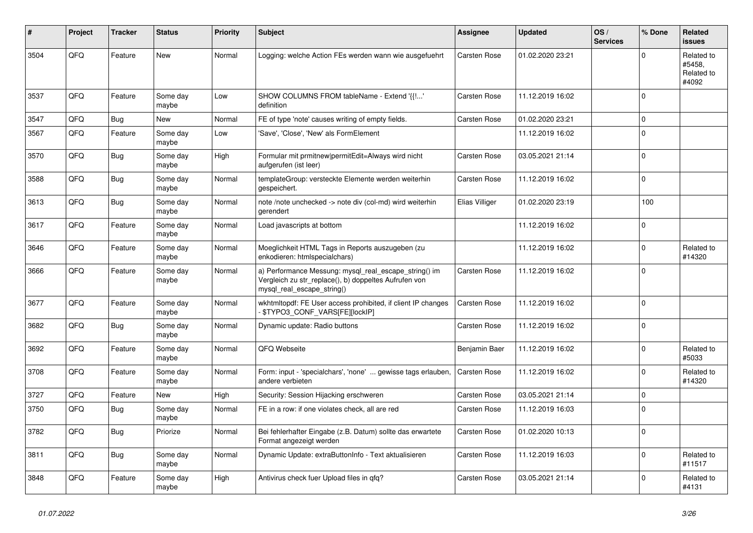| #    | <b>Project</b> | <b>Tracker</b> | <b>Status</b>     | <b>Priority</b> | <b>Subject</b>                                                                                                                               | Assignee            | <b>Updated</b>   | OS/<br><b>Services</b> | % Done   | Related<br><b>issues</b>                    |
|------|----------------|----------------|-------------------|-----------------|----------------------------------------------------------------------------------------------------------------------------------------------|---------------------|------------------|------------------------|----------|---------------------------------------------|
| 3504 | QFQ            | Feature        | New               | Normal          | Logging: welche Action FEs werden wann wie ausgefuehrt                                                                                       | <b>Carsten Rose</b> | 01.02.2020 23:21 |                        | $\Omega$ | Related to<br>#5458,<br>Related to<br>#4092 |
| 3537 | QFQ            | Feature        | Some day<br>maybe | Low             | SHOW COLUMNS FROM tableName - Extend '{{!'<br>definition                                                                                     | <b>Carsten Rose</b> | 11.12.2019 16:02 |                        | $\Omega$ |                                             |
| 3547 | QFQ            | <b>Bug</b>     | New               | Normal          | FE of type 'note' causes writing of empty fields.                                                                                            | <b>Carsten Rose</b> | 01.02.2020 23:21 |                        | $\Omega$ |                                             |
| 3567 | QFQ            | Feature        | Some day<br>maybe | Low             | 'Save', 'Close', 'New' als FormElement                                                                                                       |                     | 11.12.2019 16:02 |                        | $\Omega$ |                                             |
| 3570 | QFQ            | Bug            | Some day<br>maybe | High            | Formular mit prmitnew permitEdit=Always wird nicht<br>aufgerufen (ist leer)                                                                  | <b>Carsten Rose</b> | 03.05.2021 21:14 |                        | $\Omega$ |                                             |
| 3588 | QFQ            | Bug            | Some day<br>maybe | Normal          | templateGroup: versteckte Elemente werden weiterhin<br>gespeichert.                                                                          | Carsten Rose        | 11.12.2019 16:02 |                        | $\Omega$ |                                             |
| 3613 | QFQ            | <b>Bug</b>     | Some day<br>maybe | Normal          | note /note unchecked -> note div (col-md) wird weiterhin<br>gerendert                                                                        | Elias Villiger      | 01.02.2020 23:19 |                        | 100      |                                             |
| 3617 | QFQ            | Feature        | Some day<br>maybe | Normal          | Load javascripts at bottom                                                                                                                   |                     | 11.12.2019 16:02 |                        | $\Omega$ |                                             |
| 3646 | QFQ            | Feature        | Some day<br>maybe | Normal          | Moeglichkeit HTML Tags in Reports auszugeben (zu<br>enkodieren: htmlspecialchars)                                                            |                     | 11.12.2019 16:02 |                        | $\Omega$ | Related to<br>#14320                        |
| 3666 | QFQ            | Feature        | Some day<br>maybe | Normal          | a) Performance Messung: mysql_real_escape_string() im<br>Vergleich zu str replace(), b) doppeltes Aufrufen von<br>mysql real escape string() | Carsten Rose        | 11.12.2019 16:02 |                        | $\Omega$ |                                             |
| 3677 | QFQ            | Feature        | Some day<br>maybe | Normal          | wkhtmltopdf: FE User access prohibited, if client IP changes<br>- \$TYPO3_CONF_VARS[FE][lockIP]                                              | <b>Carsten Rose</b> | 11.12.2019 16:02 |                        | $\Omega$ |                                             |
| 3682 | QFQ            | <b>Bug</b>     | Some day<br>maybe | Normal          | Dynamic update: Radio buttons                                                                                                                | Carsten Rose        | 11.12.2019 16:02 |                        | $\Omega$ |                                             |
| 3692 | QFQ            | Feature        | Some day<br>maybe | Normal          | QFQ Webseite                                                                                                                                 | Benjamin Baer       | 11.12.2019 16:02 |                        | $\Omega$ | Related to<br>#5033                         |
| 3708 | QFQ            | Feature        | Some day<br>maybe | Normal          | Form: input - 'specialchars', 'none'  gewisse tags erlauben,<br>andere verbieten                                                             | Carsten Rose        | 11.12.2019 16:02 |                        | $\Omega$ | Related to<br>#14320                        |
| 3727 | QFQ            | Feature        | <b>New</b>        | High            | Security: Session Hijacking erschweren                                                                                                       | Carsten Rose        | 03.05.2021 21:14 |                        | 0        |                                             |
| 3750 | QFQ            | <b>Bug</b>     | Some day<br>maybe | Normal          | FE in a row: if one violates check, all are red                                                                                              | <b>Carsten Rose</b> | 11.12.2019 16:03 |                        | $\Omega$ |                                             |
| 3782 | QFQ            | Bug            | Priorize          | Normal          | Bei fehlerhafter Eingabe (z.B. Datum) sollte das erwartete<br>Format angezeigt werden                                                        | Carsten Rose        | 01.02.2020 10:13 |                        | $\Omega$ |                                             |
| 3811 | QFQ            | <b>Bug</b>     | Some day<br>maybe | Normal          | Dynamic Update: extraButtonInfo - Text aktualisieren                                                                                         | Carsten Rose        | 11.12.2019 16:03 |                        | $\Omega$ | Related to<br>#11517                        |
| 3848 | QFQ            | Feature        | Some day<br>maybe | High            | Antivirus check fuer Upload files in qfq?                                                                                                    | <b>Carsten Rose</b> | 03.05.2021 21:14 |                        | $\Omega$ | Related to<br>#4131                         |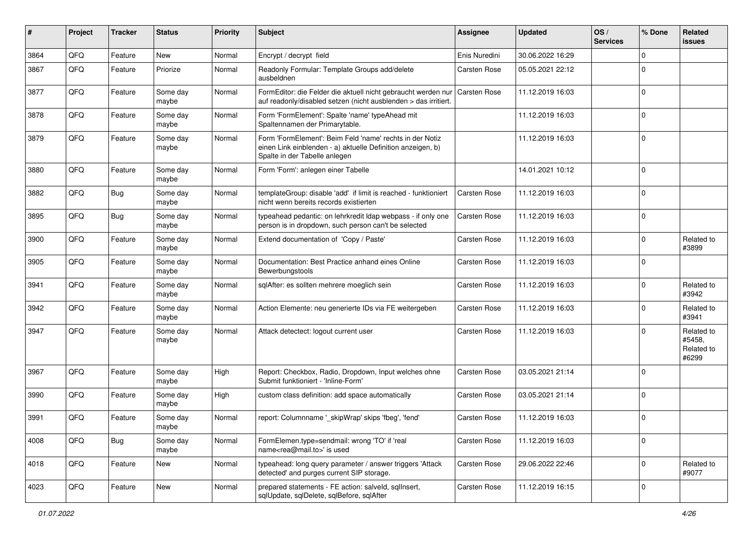| #    | Project | <b>Tracker</b> | <b>Status</b>     | <b>Priority</b> | <b>Subject</b>                                                                                                                                           | <b>Assignee</b>     | <b>Updated</b>   | OS/<br><b>Services</b> | % Done       | Related<br><b>issues</b>                    |
|------|---------|----------------|-------------------|-----------------|----------------------------------------------------------------------------------------------------------------------------------------------------------|---------------------|------------------|------------------------|--------------|---------------------------------------------|
| 3864 | QFQ     | Feature        | New               | Normal          | Encrypt / decrypt field                                                                                                                                  | Enis Nuredini       | 30.06.2022 16:29 |                        | $\Omega$     |                                             |
| 3867 | QFQ     | Feature        | Priorize          | Normal          | Readonly Formular: Template Groups add/delete<br>ausbeldnen                                                                                              | Carsten Rose        | 05.05.2021 22:12 |                        | $\Omega$     |                                             |
| 3877 | QFQ     | Feature        | Some day<br>maybe | Normal          | FormEditor: die Felder die aktuell nicht gebraucht werden nur<br>auf readonly/disabled setzen (nicht ausblenden > das irritiert.                         | <b>Carsten Rose</b> | 11.12.2019 16:03 |                        | $\Omega$     |                                             |
| 3878 | QFQ     | Feature        | Some day<br>maybe | Normal          | Form 'FormElement': Spalte 'name' typeAhead mit<br>Spaltennamen der Primarytable.                                                                        |                     | 11.12.2019 16:03 |                        | $\Omega$     |                                             |
| 3879 | QFQ     | Feature        | Some day<br>maybe | Normal          | Form 'FormElement': Beim Feld 'name' rechts in der Notiz<br>einen Link einblenden - a) aktuelle Definition anzeigen, b)<br>Spalte in der Tabelle anlegen |                     | 11.12.2019 16:03 |                        | $\Omega$     |                                             |
| 3880 | QFQ     | Feature        | Some day<br>maybe | Normal          | Form 'Form': anlegen einer Tabelle                                                                                                                       |                     | 14.01.2021 10:12 |                        | $\Omega$     |                                             |
| 3882 | QFQ     | Bug            | Some day<br>maybe | Normal          | templateGroup: disable 'add' if limit is reached - funktioniert<br>nicht wenn bereits records existierten                                                | <b>Carsten Rose</b> | 11.12.2019 16:03 |                        | $\Omega$     |                                             |
| 3895 | QFQ     | <b>Bug</b>     | Some day<br>maybe | Normal          | typeahead pedantic: on lehrkredit Idap webpass - if only one<br>person is in dropdown, such person can't be selected                                     | <b>Carsten Rose</b> | 11.12.2019 16:03 |                        | $\mathbf 0$  |                                             |
| 3900 | QFQ     | Feature        | Some day<br>maybe | Normal          | Extend documentation of 'Copy / Paste'                                                                                                                   | <b>Carsten Rose</b> | 11.12.2019 16:03 |                        | $\Omega$     | Related to<br>#3899                         |
| 3905 | QFQ     | Feature        | Some day<br>maybe | Normal          | Documentation: Best Practice anhand eines Online<br>Bewerbungstools                                                                                      | Carsten Rose        | 11.12.2019 16:03 |                        | $\Omega$     |                                             |
| 3941 | QFQ     | Feature        | Some day<br>maybe | Normal          | sqlAfter: es sollten mehrere moeglich sein                                                                                                               | <b>Carsten Rose</b> | 11.12.2019 16:03 |                        | $\Omega$     | Related to<br>#3942                         |
| 3942 | QFQ     | Feature        | Some day<br>maybe | Normal          | Action Elemente: neu generierte IDs via FE weitergeben                                                                                                   | Carsten Rose        | 11.12.2019 16:03 |                        | $\Omega$     | Related to<br>#3941                         |
| 3947 | QFQ     | Feature        | Some day<br>maybe | Normal          | Attack detectect: logout current user                                                                                                                    | <b>Carsten Rose</b> | 11.12.2019 16:03 |                        | $\Omega$     | Related to<br>#5458,<br>Related to<br>#6299 |
| 3967 | QFQ     | Feature        | Some day<br>maybe | High            | Report: Checkbox, Radio, Dropdown, Input welches ohne<br>Submit funktioniert - 'Inline-Form'                                                             | Carsten Rose        | 03.05.2021 21:14 |                        | $\Omega$     |                                             |
| 3990 | QFQ     | Feature        | Some day<br>maybe | High            | custom class definition: add space automatically                                                                                                         | Carsten Rose        | 03.05.2021 21:14 |                        | $\Omega$     |                                             |
| 3991 | QFQ     | Feature        | Some day<br>maybe | Normal          | report: Columnname '_skipWrap' skips 'fbeg', 'fend'                                                                                                      | <b>Carsten Rose</b> | 11.12.2019 16:03 |                        | $\Omega$     |                                             |
| 4008 | QFQ     | Bug            | Some day<br>maybe | Normal          | FormElemen.type=sendmail: wrong 'TO' if 'real<br>name <rea@mail.to>' is used</rea@mail.to>                                                               | Carsten Rose        | 11.12.2019 16:03 |                        | $\mathbf 0$  |                                             |
| 4018 | QFQ     | Feature        | New               | Normal          | typeahead: long query parameter / answer triggers 'Attack<br>detected' and purges current SIP storage.                                                   | Carsten Rose        | 29.06.2022 22:46 |                        | $\mathbf{0}$ | Related to<br>#9077                         |
| 4023 | QFQ     | Feature        | New               | Normal          | prepared statements - FE action: salveld, sqlInsert,<br>sqlUpdate, sqlDelete, sqlBefore, sqlAfter                                                        | Carsten Rose        | 11.12.2019 16:15 |                        | $\mathbf 0$  |                                             |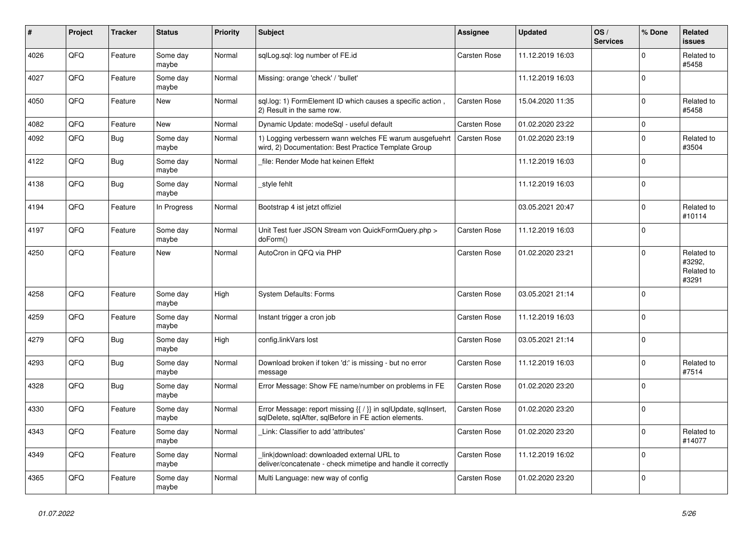| $\pmb{\#}$ | <b>Project</b> | <b>Tracker</b> | <b>Status</b>     | <b>Priority</b> | <b>Subject</b>                                                                                                          | <b>Assignee</b>     | <b>Updated</b>   | OS/<br><b>Services</b> | % Done         | <b>Related</b><br><b>issues</b>             |
|------------|----------------|----------------|-------------------|-----------------|-------------------------------------------------------------------------------------------------------------------------|---------------------|------------------|------------------------|----------------|---------------------------------------------|
| 4026       | QFQ            | Feature        | Some day<br>maybe | Normal          | sglLog.sgl: log number of FE.id                                                                                         | <b>Carsten Rose</b> | 11.12.2019 16:03 |                        | $\Omega$       | Related to<br>#5458                         |
| 4027       | QFQ            | Feature        | Some day<br>maybe | Normal          | Missing: orange 'check' / 'bullet'                                                                                      |                     | 11.12.2019 16:03 |                        | $\mathbf{0}$   |                                             |
| 4050       | QFQ            | Feature        | <b>New</b>        | Normal          | sql.log: 1) FormElement ID which causes a specific action,<br>2) Result in the same row.                                | <b>Carsten Rose</b> | 15.04.2020 11:35 |                        | $\overline{0}$ | Related to<br>#5458                         |
| 4082       | QFQ            | Feature        | <b>New</b>        | Normal          | Dynamic Update: modeSql - useful default                                                                                | <b>Carsten Rose</b> | 01.02.2020 23:22 |                        | $\pmb{0}$      |                                             |
| 4092       | QFQ            | Bug            | Some day<br>maybe | Normal          | 1) Logging verbessern wann welches FE warum ausgefuehrt<br>wird, 2) Documentation: Best Practice Template Group         | Carsten Rose        | 01.02.2020 23:19 |                        | $\overline{0}$ | Related to<br>#3504                         |
| 4122       | QFQ            | <b>Bug</b>     | Some day<br>maybe | Normal          | file: Render Mode hat keinen Effekt                                                                                     |                     | 11.12.2019 16:03 |                        | $\overline{0}$ |                                             |
| 4138       | QFQ            | Bug            | Some day<br>maybe | Normal          | style fehlt                                                                                                             |                     | 11.12.2019 16:03 |                        | $\overline{0}$ |                                             |
| 4194       | QFQ            | Feature        | In Progress       | Normal          | Bootstrap 4 ist jetzt offiziel                                                                                          |                     | 03.05.2021 20:47 |                        | $\Omega$       | Related to<br>#10114                        |
| 4197       | QFQ            | Feature        | Some day<br>maybe | Normal          | Unit Test fuer JSON Stream von QuickFormQuery.php ><br>doForm()                                                         | <b>Carsten Rose</b> | 11.12.2019 16:03 |                        | $\overline{0}$ |                                             |
| 4250       | QFQ            | Feature        | New               | Normal          | AutoCron in QFQ via PHP                                                                                                 | <b>Carsten Rose</b> | 01.02.2020 23:21 |                        | $\Omega$       | Related to<br>#3292,<br>Related to<br>#3291 |
| 4258       | QFQ            | Feature        | Some day<br>maybe | High            | System Defaults: Forms                                                                                                  | <b>Carsten Rose</b> | 03.05.2021 21:14 |                        | $\Omega$       |                                             |
| 4259       | QFQ            | Feature        | Some day<br>maybe | Normal          | Instant trigger a cron job                                                                                              | <b>Carsten Rose</b> | 11.12.2019 16:03 |                        | $\mathbf 0$    |                                             |
| 4279       | QFQ            | <b>Bug</b>     | Some day<br>maybe | High            | config.linkVars lost                                                                                                    | Carsten Rose        | 03.05.2021 21:14 |                        | $\pmb{0}$      |                                             |
| 4293       | QFQ            | Bug            | Some day<br>maybe | Normal          | Download broken if token 'd:' is missing - but no error<br>message                                                      | <b>Carsten Rose</b> | 11.12.2019 16:03 |                        | $\mathbf{0}$   | Related to<br>#7514                         |
| 4328       | QFQ.           | Bug            | Some day<br>maybe | Normal          | Error Message: Show FE name/number on problems in FE                                                                    | <b>Carsten Rose</b> | 01.02.2020 23:20 |                        | $\mathbf 0$    |                                             |
| 4330       | QFQ            | Feature        | Some day<br>maybe | Normal          | Error Message: report missing {{ / }} in sqlUpdate, sqlInsert,<br>sqlDelete, sqlAfter, sqlBefore in FE action elements. | <b>Carsten Rose</b> | 01.02.2020 23:20 |                        | $\mathbf{0}$   |                                             |
| 4343       | QFQ            | Feature        | Some day<br>maybe | Normal          | Link: Classifier to add 'attributes'                                                                                    | <b>Carsten Rose</b> | 01.02.2020 23:20 |                        | $\mathbf 0$    | Related to<br>#14077                        |
| 4349       | QFQ            | Feature        | Some day<br>maybe | Normal          | link download: downloaded external URL to<br>deliver/concatenate - check mimetipe and handle it correctly               | <b>Carsten Rose</b> | 11.12.2019 16:02 |                        | $\mathbf{0}$   |                                             |
| 4365       | QFQ            | Feature        | Some day<br>maybe | Normal          | Multi Language: new way of config                                                                                       | <b>Carsten Rose</b> | 01.02.2020 23:20 |                        | $\mathbf{0}$   |                                             |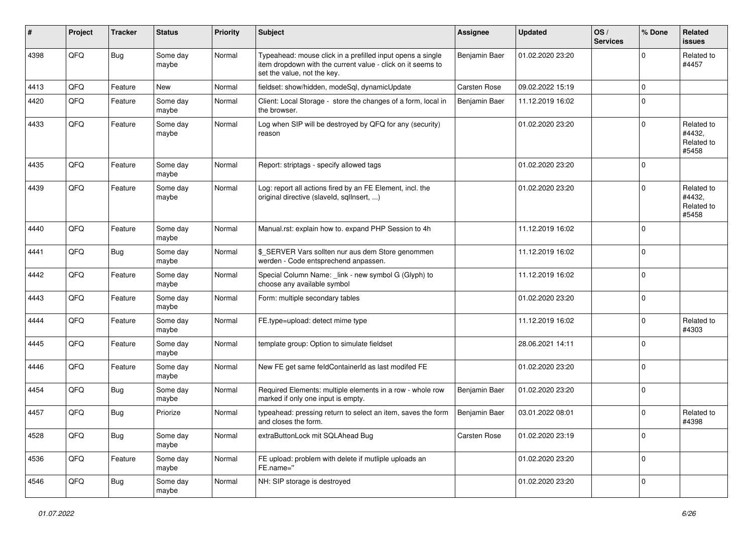| ∦    | Project | <b>Tracker</b> | <b>Status</b>     | <b>Priority</b> | <b>Subject</b>                                                                                                                                           | <b>Assignee</b>     | <b>Updated</b>   | OS/<br><b>Services</b> | % Done         | Related<br><b>issues</b>                    |
|------|---------|----------------|-------------------|-----------------|----------------------------------------------------------------------------------------------------------------------------------------------------------|---------------------|------------------|------------------------|----------------|---------------------------------------------|
| 4398 | QFQ     | <b>Bug</b>     | Some day<br>maybe | Normal          | Typeahead: mouse click in a prefilled input opens a single<br>item dropdown with the current value - click on it seems to<br>set the value, not the key. | Benjamin Baer       | 01.02.2020 23:20 |                        | $\Omega$       | Related to<br>#4457                         |
| 4413 | QFQ     | Feature        | New               | Normal          | fieldset: show/hidden, modeSql, dynamicUpdate                                                                                                            | <b>Carsten Rose</b> | 09.02.2022 15:19 |                        | $\mathbf 0$    |                                             |
| 4420 | QFQ     | Feature        | Some day<br>maybe | Normal          | Client: Local Storage - store the changes of a form, local in<br>the browser.                                                                            | Benjamin Baer       | 11.12.2019 16:02 |                        | $\Omega$       |                                             |
| 4433 | QFQ     | Feature        | Some day<br>maybe | Normal          | Log when SIP will be destroyed by QFQ for any (security)<br>reason                                                                                       |                     | 01.02.2020 23:20 |                        | $\Omega$       | Related to<br>#4432,<br>Related to<br>#5458 |
| 4435 | QFQ     | Feature        | Some day<br>maybe | Normal          | Report: striptags - specify allowed tags                                                                                                                 |                     | 01.02.2020 23:20 |                        | $\Omega$       |                                             |
| 4439 | QFQ     | Feature        | Some day<br>maybe | Normal          | Log: report all actions fired by an FE Element, incl. the<br>original directive (slaveld, sqllnsert, )                                                   |                     | 01.02.2020 23:20 |                        | $\Omega$       | Related to<br>#4432,<br>Related to<br>#5458 |
| 4440 | QFQ     | Feature        | Some day<br>maybe | Normal          | Manual.rst: explain how to. expand PHP Session to 4h                                                                                                     |                     | 11.12.2019 16:02 |                        | $\Omega$       |                                             |
| 4441 | QFQ     | <b>Bug</b>     | Some day<br>maybe | Normal          | \$_SERVER Vars sollten nur aus dem Store genommen<br>werden - Code entsprechend anpassen.                                                                |                     | 11.12.2019 16:02 |                        | $\mathbf 0$    |                                             |
| 4442 | QFQ     | Feature        | Some day<br>maybe | Normal          | Special Column Name: _link - new symbol G (Glyph) to<br>choose any available symbol                                                                      |                     | 11.12.2019 16:02 |                        | $\Omega$       |                                             |
| 4443 | QFQ     | Feature        | Some day<br>maybe | Normal          | Form: multiple secondary tables                                                                                                                          |                     | 01.02.2020 23:20 |                        | $\Omega$       |                                             |
| 4444 | QFQ     | Feature        | Some day<br>maybe | Normal          | FE.type=upload: detect mime type                                                                                                                         |                     | 11.12.2019 16:02 |                        | $\Omega$       | Related to<br>#4303                         |
| 4445 | QFQ     | Feature        | Some day<br>maybe | Normal          | template group: Option to simulate fieldset                                                                                                              |                     | 28.06.2021 14:11 |                        | $\mathbf 0$    |                                             |
| 4446 | QFQ     | Feature        | Some day<br>maybe | Normal          | New FE get same feldContainerId as last modifed FE                                                                                                       |                     | 01.02.2020 23:20 |                        | $\mathbf 0$    |                                             |
| 4454 | QFQ     | <b>Bug</b>     | Some day<br>maybe | Normal          | Required Elements: multiple elements in a row - whole row<br>marked if only one input is empty.                                                          | Benjamin Baer       | 01.02.2020 23:20 |                        | $\mathbf 0$    |                                             |
| 4457 | QFQ     | Bug            | Priorize          | Normal          | typeahead: pressing return to select an item, saves the form<br>and closes the form.                                                                     | Benjamin Baer       | 03.01.2022 08:01 |                        | $\Omega$       | Related to<br>#4398                         |
| 4528 | QFO     | <b>Bug</b>     | Some day<br>maybe | Normal          | extraButtonLock mit SQLAhead Bug                                                                                                                         | Carsten Rose        | 01.02.2020 23:19 |                        | $\mathbf 0$    |                                             |
| 4536 | QFQ     | Feature        | Some day<br>maybe | Normal          | FE upload: problem with delete if mutliple uploads an<br>FE.name="                                                                                       |                     | 01.02.2020 23:20 |                        | $\overline{0}$ |                                             |
| 4546 | QFG     | <b>Bug</b>     | Some day<br>maybe | Normal          | NH: SIP storage is destroyed                                                                                                                             |                     | 01.02.2020 23:20 |                        | $\Omega$       |                                             |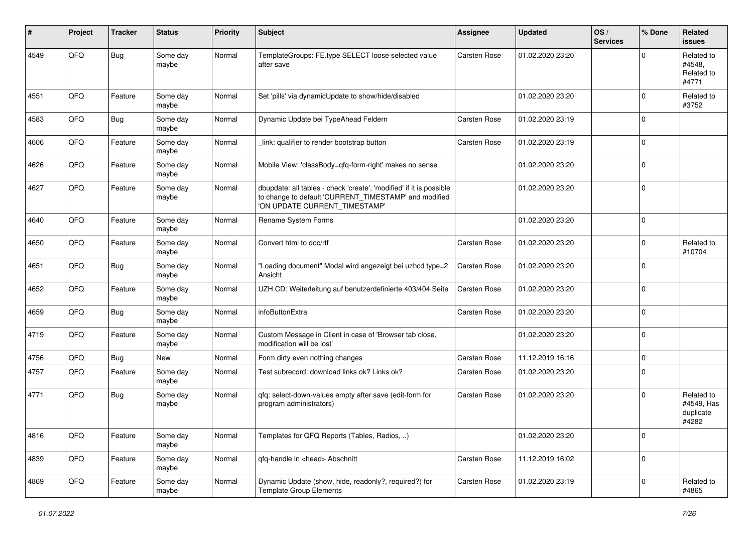| ∦    | Project | <b>Tracker</b> | <b>Status</b>     | <b>Priority</b> | <b>Subject</b>                                                                                                                                                | <b>Assignee</b>     | <b>Updated</b>   | OS/<br><b>Services</b> | % Done         | Related<br><b>issues</b>                       |
|------|---------|----------------|-------------------|-----------------|---------------------------------------------------------------------------------------------------------------------------------------------------------------|---------------------|------------------|------------------------|----------------|------------------------------------------------|
| 4549 | QFQ     | <b>Bug</b>     | Some day<br>maybe | Normal          | TemplateGroups: FE.type SELECT loose selected value<br>after save                                                                                             | <b>Carsten Rose</b> | 01.02.2020 23:20 |                        | $\Omega$       | Related to<br>#4548.<br>Related to<br>#4771    |
| 4551 | QFQ     | Feature        | Some day<br>maybe | Normal          | Set 'pills' via dynamicUpdate to show/hide/disabled                                                                                                           |                     | 01.02.2020 23:20 |                        | $\mathbf 0$    | Related to<br>#3752                            |
| 4583 | QFQ     | <b>Bug</b>     | Some day<br>maybe | Normal          | Dynamic Update bei TypeAhead Feldern                                                                                                                          | <b>Carsten Rose</b> | 01.02.2020 23:19 |                        | $\mathbf 0$    |                                                |
| 4606 | QFQ     | Feature        | Some day<br>maybe | Normal          | link: qualifier to render bootstrap button                                                                                                                    | <b>Carsten Rose</b> | 01.02.2020 23:19 |                        | $\mathbf 0$    |                                                |
| 4626 | QFQ     | Feature        | Some day<br>maybe | Normal          | Mobile View: 'classBody=qfq-form-right' makes no sense                                                                                                        |                     | 01.02.2020 23:20 |                        | $\overline{0}$ |                                                |
| 4627 | QFQ     | Feature        | Some day<br>maybe | Normal          | dbupdate: all tables - check 'create', 'modified' if it is possible<br>to change to default 'CURRENT_TIMESTAMP' and modified<br>'ON UPDATE CURRENT_TIMESTAMP' |                     | 01.02.2020 23:20 |                        | $\mathbf 0$    |                                                |
| 4640 | QFQ     | Feature        | Some day<br>maybe | Normal          | Rename System Forms                                                                                                                                           |                     | 01.02.2020 23:20 |                        | $\mathbf 0$    |                                                |
| 4650 | QFQ     | Feature        | Some day<br>maybe | Normal          | Convert html to doc/rtf                                                                                                                                       | Carsten Rose        | 01.02.2020 23:20 |                        | $\mathbf 0$    | Related to<br>#10704                           |
| 4651 | QFQ     | <b>Bug</b>     | Some day<br>maybe | Normal          | "Loading document" Modal wird angezeigt bei uzhcd type=2<br>Ansicht                                                                                           | <b>Carsten Rose</b> | 01.02.2020 23:20 |                        | $\overline{0}$ |                                                |
| 4652 | QFQ     | Feature        | Some day<br>maybe | Normal          | UZH CD: Weiterleitung auf benutzerdefinierte 403/404 Seite                                                                                                    | Carsten Rose        | 01.02.2020 23:20 |                        | $\mathbf 0$    |                                                |
| 4659 | QFQ     | <b>Bug</b>     | Some day<br>maybe | Normal          | infoButtonExtra                                                                                                                                               | <b>Carsten Rose</b> | 01.02.2020 23:20 |                        | $\mathbf 0$    |                                                |
| 4719 | QFQ     | Feature        | Some day<br>maybe | Normal          | Custom Message in Client in case of 'Browser tab close,<br>modification will be lost'                                                                         |                     | 01.02.2020 23:20 |                        | $\mathbf 0$    |                                                |
| 4756 | QFQ     | <b>Bug</b>     | New               | Normal          | Form dirty even nothing changes                                                                                                                               | Carsten Rose        | 11.12.2019 16:16 |                        | $\mathbf 0$    |                                                |
| 4757 | QFQ     | Feature        | Some day<br>maybe | Normal          | Test subrecord: download links ok? Links ok?                                                                                                                  | <b>Carsten Rose</b> | 01.02.2020 23:20 |                        | $\mathbf 0$    |                                                |
| 4771 | QFQ     | <b>Bug</b>     | Some day<br>maybe | Normal          | qfq: select-down-values empty after save (edit-form for<br>program administrators)                                                                            | Carsten Rose        | 01.02.2020 23:20 |                        | $\overline{0}$ | Related to<br>#4549, Has<br>duplicate<br>#4282 |
| 4816 | QFQ     | Feature        | Some day<br>maybe | Normal          | Templates for QFQ Reports (Tables, Radios, )                                                                                                                  |                     | 01.02.2020 23:20 |                        | $\mathbf 0$    |                                                |
| 4839 | QFO     | Feature        | Some day<br>maybe | Normal          | qfq-handle in <head> Abschnitt</head>                                                                                                                         | <b>Carsten Rose</b> | 11.12.2019 16:02 |                        | $\mathbf 0$    |                                                |
| 4869 | QFO     | Feature        | Some day<br>maybe | Normal          | Dynamic Update (show, hide, readonly?, required?) for<br><b>Template Group Elements</b>                                                                       | <b>Carsten Rose</b> | 01.02.2020 23:19 |                        | $\mathbf 0$    | Related to<br>#4865                            |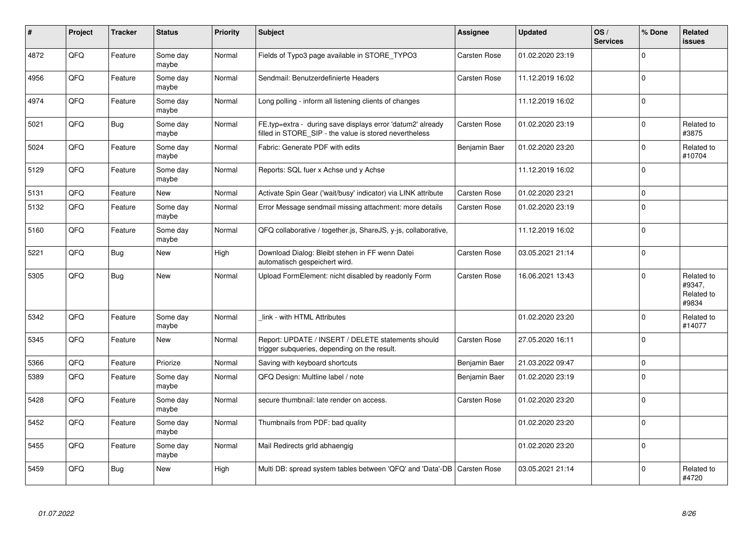| #    | Project | <b>Tracker</b> | <b>Status</b>     | <b>Priority</b> | <b>Subject</b>                                                                                                       | <b>Assignee</b>     | <b>Updated</b>   | OS/<br><b>Services</b> | % Done         | <b>Related</b><br><b>issues</b>             |
|------|---------|----------------|-------------------|-----------------|----------------------------------------------------------------------------------------------------------------------|---------------------|------------------|------------------------|----------------|---------------------------------------------|
| 4872 | QFQ     | Feature        | Some day<br>maybe | Normal          | Fields of Typo3 page available in STORE TYPO3                                                                        | <b>Carsten Rose</b> | 01.02.2020 23:19 |                        | $\overline{0}$ |                                             |
| 4956 | QFQ     | Feature        | Some day<br>maybe | Normal          | Sendmail: Benutzerdefinierte Headers                                                                                 | Carsten Rose        | 11.12.2019 16:02 |                        | $\overline{0}$ |                                             |
| 4974 | QFQ     | Feature        | Some day<br>maybe | Normal          | Long polling - inform all listening clients of changes                                                               |                     | 11.12.2019 16:02 |                        | $\pmb{0}$      |                                             |
| 5021 | QFQ     | <b>Bug</b>     | Some day<br>maybe | Normal          | FE.typ=extra - during save displays error 'datum2' already<br>filled in STORE SIP - the value is stored nevertheless | Carsten Rose        | 01.02.2020 23:19 |                        | $\Omega$       | Related to<br>#3875                         |
| 5024 | QFQ     | Feature        | Some day<br>maybe | Normal          | Fabric: Generate PDF with edits                                                                                      | Benjamin Baer       | 01.02.2020 23:20 |                        | $\overline{0}$ | Related to<br>#10704                        |
| 5129 | QFQ     | Feature        | Some day<br>maybe | Normal          | Reports: SQL fuer x Achse und y Achse                                                                                |                     | 11.12.2019 16:02 |                        | $\mathbf{0}$   |                                             |
| 5131 | QFQ     | Feature        | New               | Normal          | Activate Spin Gear ('wait/busy' indicator) via LINK attribute                                                        | <b>Carsten Rose</b> | 01.02.2020 23:21 |                        | $\mathbf 0$    |                                             |
| 5132 | QFQ     | Feature        | Some day<br>maybe | Normal          | Error Message sendmail missing attachment: more details                                                              | Carsten Rose        | 01.02.2020 23:19 |                        | $\mathbf 0$    |                                             |
| 5160 | QFQ     | Feature        | Some day<br>maybe | Normal          | QFQ collaborative / together.js, ShareJS, y-js, collaborative,                                                       |                     | 11.12.2019 16:02 |                        | $\mathbf 0$    |                                             |
| 5221 | QFQ     | <b>Bug</b>     | New               | High            | Download Dialog: Bleibt stehen in FF wenn Datei<br>automatisch gespeichert wird.                                     | Carsten Rose        | 03.05.2021 21:14 |                        | $\Omega$       |                                             |
| 5305 | QFQ     | <b>Bug</b>     | <b>New</b>        | Normal          | Upload FormElement: nicht disabled by readonly Form                                                                  | <b>Carsten Rose</b> | 16.06.2021 13:43 |                        | $\overline{0}$ | Related to<br>#9347,<br>Related to<br>#9834 |
| 5342 | QFQ     | Feature        | Some day<br>maybe | Normal          | link - with HTML Attributes                                                                                          |                     | 01.02.2020 23:20 |                        | $\mathbf 0$    | Related to<br>#14077                        |
| 5345 | QFQ     | Feature        | <b>New</b>        | Normal          | Report: UPDATE / INSERT / DELETE statements should<br>trigger subqueries, depending on the result.                   | Carsten Rose        | 27.05.2020 16:11 |                        | $\Omega$       |                                             |
| 5366 | QFQ     | Feature        | Priorize          | Normal          | Saving with keyboard shortcuts                                                                                       | Benjamin Baer       | 21.03.2022 09:47 |                        | $\pmb{0}$      |                                             |
| 5389 | QFQ     | Feature        | Some dav<br>maybe | Normal          | QFQ Design: Multline label / note                                                                                    | Benjamin Baer       | 01.02.2020 23:19 |                        | $\Omega$       |                                             |
| 5428 | QFQ     | Feature        | Some day<br>maybe | Normal          | secure thumbnail: late render on access.                                                                             | <b>Carsten Rose</b> | 01.02.2020 23:20 |                        | $\overline{0}$ |                                             |
| 5452 | QFQ     | Feature        | Some day<br>maybe | Normal          | Thumbnails from PDF: bad quality                                                                                     |                     | 01.02.2020 23:20 |                        | $\overline{0}$ |                                             |
| 5455 | QFQ     | Feature        | Some day<br>maybe | Normal          | Mail Redirects grld abhaengig                                                                                        |                     | 01.02.2020 23:20 |                        | $\pmb{0}$      |                                             |
| 5459 | QFQ     | <b>Bug</b>     | New               | High            | Multi DB: spread system tables between 'QFQ' and 'Data'-DB                                                           | <b>Carsten Rose</b> | 03.05.2021 21:14 |                        | $\Omega$       | Related to<br>#4720                         |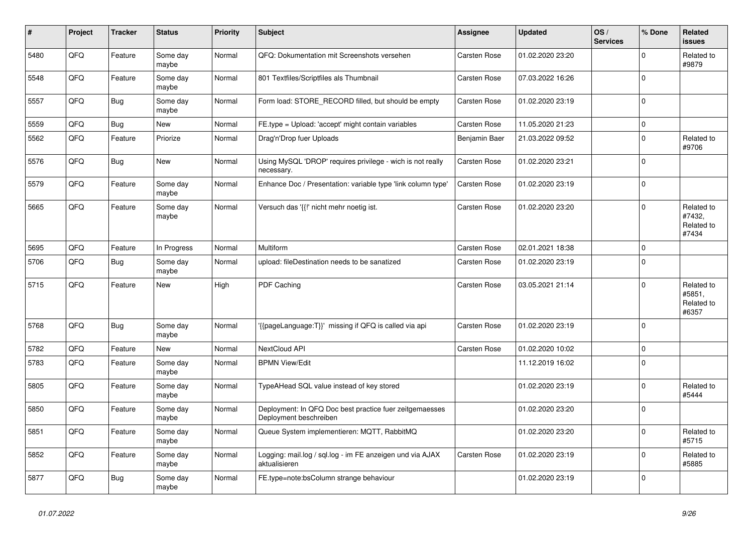| #    | Project | <b>Tracker</b> | <b>Status</b>     | <b>Priority</b> | <b>Subject</b>                                                                    | Assignee            | <b>Updated</b>   | OS/<br><b>Services</b> | % Done         | <b>Related</b><br><b>issues</b>             |
|------|---------|----------------|-------------------|-----------------|-----------------------------------------------------------------------------------|---------------------|------------------|------------------------|----------------|---------------------------------------------|
| 5480 | QFQ     | Feature        | Some day<br>maybe | Normal          | QFQ: Dokumentation mit Screenshots versehen                                       | <b>Carsten Rose</b> | 01.02.2020 23:20 |                        | $\Omega$       | Related to<br>#9879                         |
| 5548 | QFQ     | Feature        | Some day<br>maybe | Normal          | 801 Textfiles/Scriptfiles als Thumbnail                                           | <b>Carsten Rose</b> | 07.03.2022 16:26 |                        | $\mathbf 0$    |                                             |
| 5557 | QFQ     | <b>Bug</b>     | Some day<br>maybe | Normal          | Form load: STORE_RECORD filled, but should be empty                               | <b>Carsten Rose</b> | 01.02.2020 23:19 |                        | $\mathbf{0}$   |                                             |
| 5559 | QFQ     | <b>Bug</b>     | <b>New</b>        | Normal          | FE.type = Upload: 'accept' might contain variables                                | <b>Carsten Rose</b> | 11.05.2020 21:23 |                        | $\mathbf 0$    |                                             |
| 5562 | QFQ     | Feature        | Priorize          | Normal          | Drag'n'Drop fuer Uploads                                                          | Benjamin Baer       | 21.03.2022 09:52 |                        | $\Omega$       | Related to<br>#9706                         |
| 5576 | QFQ     | <b>Bug</b>     | New               | Normal          | Using MySQL 'DROP' requires privilege - wich is not really<br>necessary.          | <b>Carsten Rose</b> | 01.02.2020 23:21 |                        | $\overline{0}$ |                                             |
| 5579 | QFQ     | Feature        | Some day<br>maybe | Normal          | Enhance Doc / Presentation: variable type 'link column type'                      | Carsten Rose        | 01.02.2020 23:19 |                        | $\mathbf 0$    |                                             |
| 5665 | QFQ     | Feature        | Some day<br>maybe | Normal          | Versuch das '{{!' nicht mehr noetig ist.                                          | Carsten Rose        | 01.02.2020 23:20 |                        | $\Omega$       | Related to<br>#7432.<br>Related to<br>#7434 |
| 5695 | QFQ     | Feature        | In Progress       | Normal          | Multiform                                                                         | <b>Carsten Rose</b> | 02.01.2021 18:38 |                        | $\mathbf 0$    |                                             |
| 5706 | QFQ     | <b>Bug</b>     | Some day<br>maybe | Normal          | upload: fileDestination needs to be sanatized                                     | <b>Carsten Rose</b> | 01.02.2020 23:19 |                        | $\pmb{0}$      |                                             |
| 5715 | QFQ     | Feature        | <b>New</b>        | High            | PDF Caching                                                                       | <b>Carsten Rose</b> | 03.05.2021 21:14 |                        | $\mathbf 0$    | Related to<br>#5851,<br>Related to<br>#6357 |
| 5768 | QFQ     | <b>Bug</b>     | Some day<br>maybe | Normal          | '{{pageLanguage:T}}' missing if QFQ is called via api                             | Carsten Rose        | 01.02.2020 23:19 |                        | $\Omega$       |                                             |
| 5782 | QFQ     | Feature        | <b>New</b>        | Normal          | NextCloud API                                                                     | <b>Carsten Rose</b> | 01.02.2020 10:02 |                        | $\mathbf{0}$   |                                             |
| 5783 | QFQ     | Feature        | Some day<br>maybe | Normal          | <b>BPMN View/Edit</b>                                                             |                     | 11.12.2019 16:02 |                        | $\mathbf 0$    |                                             |
| 5805 | QFQ     | Feature        | Some day<br>maybe | Normal          | TypeAHead SQL value instead of key stored                                         |                     | 01.02.2020 23:19 |                        | $\pmb{0}$      | Related to<br>#5444                         |
| 5850 | QFQ     | Feature        | Some day<br>maybe | Normal          | Deployment: In QFQ Doc best practice fuer zeitgemaesses<br>Deployment beschreiben |                     | 01.02.2020 23:20 |                        | $\mathbf{0}$   |                                             |
| 5851 | QFQ     | Feature        | Some day<br>maybe | Normal          | Queue System implementieren: MQTT, RabbitMQ                                       |                     | 01.02.2020 23:20 |                        | $\Omega$       | Related to<br>#5715                         |
| 5852 | QFQ     | Feature        | Some day<br>maybe | Normal          | Logging: mail.log / sql.log - im FE anzeigen und via AJAX<br>aktualisieren        | Carsten Rose        | 01.02.2020 23:19 |                        | $\pmb{0}$      | Related to<br>#5885                         |
| 5877 | QFQ     | <b>Bug</b>     | Some day<br>maybe | Normal          | FE.type=note:bsColumn strange behaviour                                           |                     | 01.02.2020 23:19 |                        | $\overline{0}$ |                                             |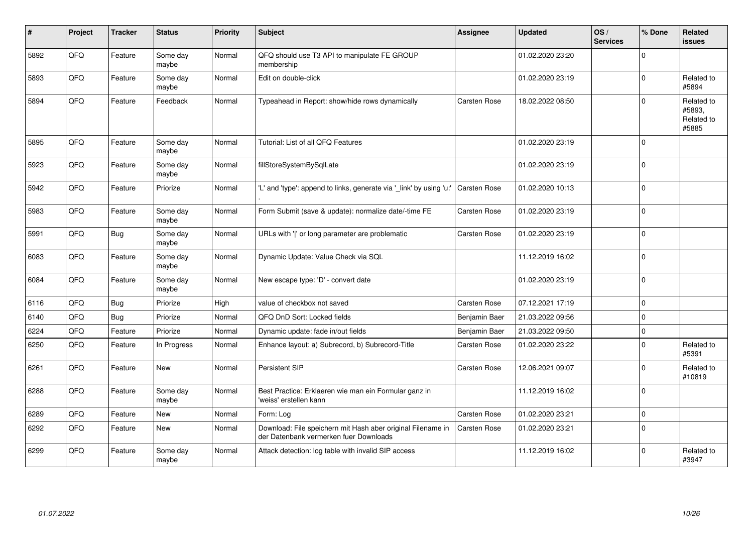| $\#$ | Project | <b>Tracker</b> | <b>Status</b>     | <b>Priority</b> | <b>Subject</b>                                                                                        | <b>Assignee</b>     | <b>Updated</b>   | OS/<br><b>Services</b> | % Done   | <b>Related</b><br><b>issues</b>             |
|------|---------|----------------|-------------------|-----------------|-------------------------------------------------------------------------------------------------------|---------------------|------------------|------------------------|----------|---------------------------------------------|
| 5892 | QFQ     | Feature        | Some day<br>maybe | Normal          | QFQ should use T3 API to manipulate FE GROUP<br>membership                                            |                     | 01.02.2020 23:20 |                        | $\Omega$ |                                             |
| 5893 | QFQ     | Feature        | Some day<br>maybe | Normal          | Edit on double-click                                                                                  |                     | 01.02.2020 23:19 |                        | $\Omega$ | Related to<br>#5894                         |
| 5894 | QFQ     | Feature        | Feedback          | Normal          | Typeahead in Report: show/hide rows dynamically                                                       | Carsten Rose        | 18.02.2022 08:50 |                        | $\Omega$ | Related to<br>#5893,<br>Related to<br>#5885 |
| 5895 | QFQ     | Feature        | Some day<br>maybe | Normal          | Tutorial: List of all QFQ Features                                                                    |                     | 01.02.2020 23:19 |                        | 0        |                                             |
| 5923 | QFQ     | Feature        | Some day<br>maybe | Normal          | fillStoreSystemBySqlLate                                                                              |                     | 01.02.2020 23:19 |                        | $\Omega$ |                                             |
| 5942 | QFQ     | Feature        | Priorize          | Normal          | 'L' and 'type': append to links, generate via '_link' by using 'u:'                                   | <b>Carsten Rose</b> | 01.02.2020 10:13 |                        | $\Omega$ |                                             |
| 5983 | QFQ     | Feature        | Some day<br>maybe | Normal          | Form Submit (save & update): normalize date/-time FE                                                  | Carsten Rose        | 01.02.2020 23:19 |                        | $\Omega$ |                                             |
| 5991 | QFQ     | Bug            | Some day<br>maybe | Normal          | URLs with 'I' or long parameter are problematic                                                       | Carsten Rose        | 01.02.2020 23:19 |                        | $\Omega$ |                                             |
| 6083 | QFQ     | Feature        | Some day<br>maybe | Normal          | Dynamic Update: Value Check via SQL                                                                   |                     | 11.12.2019 16:02 |                        | $\Omega$ |                                             |
| 6084 | QFQ     | Feature        | Some day<br>maybe | Normal          | New escape type: 'D' - convert date                                                                   |                     | 01.02.2020 23:19 |                        | $\Omega$ |                                             |
| 6116 | QFQ     | <b>Bug</b>     | Priorize          | High            | value of checkbox not saved                                                                           | <b>Carsten Rose</b> | 07.12.2021 17:19 |                        | $\Omega$ |                                             |
| 6140 | QFQ     | <b>Bug</b>     | Priorize          | Normal          | QFQ DnD Sort: Locked fields                                                                           | Benjamin Baer       | 21.03.2022 09:56 |                        | $\Omega$ |                                             |
| 6224 | QFQ     | Feature        | Priorize          | Normal          | Dynamic update: fade in/out fields                                                                    | Benjamin Baer       | 21.03.2022 09:50 |                        | $\Omega$ |                                             |
| 6250 | QFQ     | Feature        | In Progress       | Normal          | Enhance layout: a) Subrecord, b) Subrecord-Title                                                      | Carsten Rose        | 01.02.2020 23:22 |                        | $\Omega$ | Related to<br>#5391                         |
| 6261 | QFQ     | Feature        | <b>New</b>        | Normal          | Persistent SIP                                                                                        | <b>Carsten Rose</b> | 12.06.2021 09:07 |                        | $\Omega$ | Related to<br>#10819                        |
| 6288 | QFQ     | Feature        | Some day<br>maybe | Normal          | Best Practice: Erklaeren wie man ein Formular ganz in<br>'weiss' erstellen kann                       |                     | 11.12.2019 16:02 |                        | 0        |                                             |
| 6289 | QFQ     | Feature        | <b>New</b>        | Normal          | Form: Log                                                                                             | <b>Carsten Rose</b> | 01.02.2020 23:21 |                        | $\Omega$ |                                             |
| 6292 | QFQ     | Feature        | New               | Normal          | Download: File speichern mit Hash aber original Filename in<br>der Datenbank vermerken fuer Downloads | <b>Carsten Rose</b> | 01.02.2020 23:21 |                        | $\Omega$ |                                             |
| 6299 | QFQ     | Feature        | Some day<br>maybe | Normal          | Attack detection: log table with invalid SIP access                                                   |                     | 11.12.2019 16:02 |                        | $\Omega$ | Related to<br>#3947                         |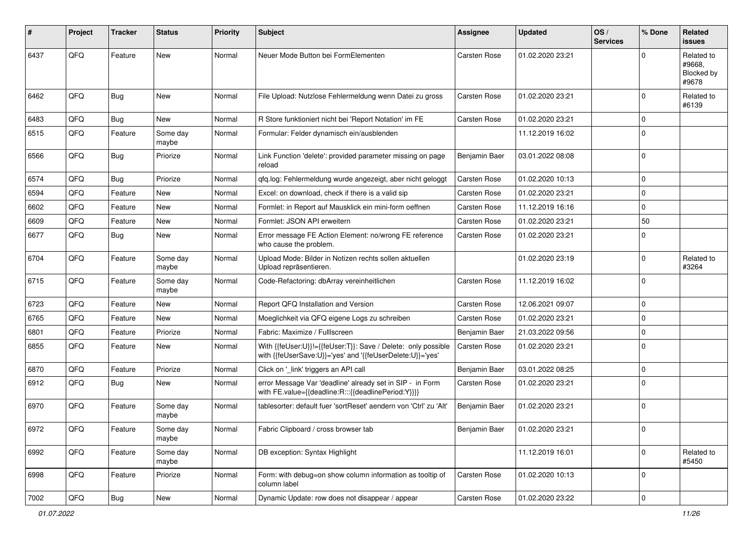| #    | Project | <b>Tracker</b> | <b>Status</b>     | <b>Priority</b> | <b>Subject</b>                                                                                                             | <b>Assignee</b>     | <b>Updated</b>   | OS/<br><b>Services</b> | % Done         | Related<br><b>issues</b>                    |
|------|---------|----------------|-------------------|-----------------|----------------------------------------------------------------------------------------------------------------------------|---------------------|------------------|------------------------|----------------|---------------------------------------------|
| 6437 | QFQ     | Feature        | <b>New</b>        | Normal          | Neuer Mode Button bei FormElementen                                                                                        | <b>Carsten Rose</b> | 01.02.2020 23:21 |                        |                | Related to<br>#9668.<br>Blocked by<br>#9678 |
| 6462 | QFQ     | <b>Bug</b>     | New               | Normal          | File Upload: Nutzlose Fehlermeldung wenn Datei zu gross                                                                    | <b>Carsten Rose</b> | 01.02.2020 23:21 |                        | $\Omega$       | Related to<br>#6139                         |
| 6483 | QFQ     | Bug            | <b>New</b>        | Normal          | R Store funktioniert nicht bei 'Report Notation' im FE                                                                     | <b>Carsten Rose</b> | 01.02.2020 23:21 |                        | $\mathbf 0$    |                                             |
| 6515 | QFQ     | Feature        | Some day<br>maybe | Normal          | Formular: Felder dynamisch ein/ausblenden                                                                                  |                     | 11.12.2019 16:02 |                        | $\Omega$       |                                             |
| 6566 | QFQ     | <b>Bug</b>     | Priorize          | Normal          | Link Function 'delete': provided parameter missing on page<br>reload                                                       | Benjamin Baer       | 03.01.2022 08:08 |                        | $\mathbf 0$    |                                             |
| 6574 | QFQ     | <b>Bug</b>     | Priorize          | Normal          | qfq.log: Fehlermeldung wurde angezeigt, aber nicht geloggt                                                                 | <b>Carsten Rose</b> | 01.02.2020 10:13 |                        | $\mathbf 0$    |                                             |
| 6594 | QFQ     | Feature        | New               | Normal          | Excel: on download, check if there is a valid sip                                                                          | <b>Carsten Rose</b> | 01.02.2020 23:21 |                        | $\mathbf 0$    |                                             |
| 6602 | QFQ     | Feature        | New               | Normal          | Formlet: in Report auf Mausklick ein mini-form oeffnen                                                                     | <b>Carsten Rose</b> | 11.12.2019 16:16 |                        | $\mathbf 0$    |                                             |
| 6609 | QFQ     | Feature        | New               | Normal          | Formlet: JSON API erweitern                                                                                                | <b>Carsten Rose</b> | 01.02.2020 23:21 |                        | 50             |                                             |
| 6677 | QFQ     | <b>Bug</b>     | New               | Normal          | Error message FE Action Element: no/wrong FE reference<br>who cause the problem.                                           | <b>Carsten Rose</b> | 01.02.2020 23:21 |                        | $\Omega$       |                                             |
| 6704 | QFQ     | Feature        | Some day<br>maybe | Normal          | Upload Mode: Bilder in Notizen rechts sollen aktuellen<br>Upload repräsentieren.                                           |                     | 01.02.2020 23:19 |                        | $\Omega$       | Related to<br>#3264                         |
| 6715 | QFQ     | Feature        | Some day<br>maybe | Normal          | Code-Refactoring: dbArray vereinheitlichen                                                                                 | <b>Carsten Rose</b> | 11.12.2019 16:02 |                        | $\mathbf 0$    |                                             |
| 6723 | QFQ     | Feature        | New               | Normal          | Report QFQ Installation and Version                                                                                        | <b>Carsten Rose</b> | 12.06.2021 09:07 |                        | $\Omega$       |                                             |
| 6765 | QFQ     | Feature        | New               | Normal          | Moeglichkeit via QFQ eigene Logs zu schreiben                                                                              | <b>Carsten Rose</b> | 01.02.2020 23:21 |                        | $\Omega$       |                                             |
| 6801 | QFQ     | Feature        | Priorize          | Normal          | Fabric: Maximize / Fulllscreen                                                                                             | Benjamin Baer       | 21.03.2022 09:56 |                        | 0              |                                             |
| 6855 | QFQ     | Feature        | New               | Normal          | With {{feUser:U}}!={{feUser:T}}: Save / Delete: only possible<br>with {{feUserSave:U}}='yes' and '{{feUserDelete:U}}='yes' | <b>Carsten Rose</b> | 01.02.2020 23:21 |                        | $\mathbf 0$    |                                             |
| 6870 | QFQ     | Feature        | Priorize          | Normal          | Click on '_link' triggers an API call                                                                                      | Benjamin Baer       | 03.01.2022 08:25 |                        | $\Omega$       |                                             |
| 6912 | QFQ     | <b>Bug</b>     | New               | Normal          | error Message Var 'deadline' already set in SIP - in Form<br>with FE.value={{deadline:R:::{{deadlinePeriod:Y}}}}           | Carsten Rose        | 01.02.2020 23:21 |                        | $\Omega$       |                                             |
| 6970 | QFQ     | Feature        | Some day<br>maybe | Normal          | tablesorter: default fuer 'sortReset' aendern von 'Ctrl' zu 'Alt'                                                          | Benjamin Baer       | 01.02.2020 23:21 |                        | $\Omega$       |                                             |
| 6972 | QFQ     | Feature        | Some day<br>maybe | Normal          | Fabric Clipboard / cross browser tab                                                                                       | Benjamin Baer       | 01.02.2020 23:21 |                        | 0              |                                             |
| 6992 | QFQ     | Feature        | Some day<br>maybe | Normal          | DB exception: Syntax Highlight                                                                                             |                     | 11.12.2019 16:01 |                        | $\mathbf 0$    | Related to<br>#5450                         |
| 6998 | QFQ     | Feature        | Priorize          | Normal          | Form: with debug=on show column information as tooltip of<br>column label                                                  | Carsten Rose        | 01.02.2020 10:13 |                        | $\overline{0}$ |                                             |
| 7002 | QFG     | Bug            | New               | Normal          | Dynamic Update: row does not disappear / appear                                                                            | Carsten Rose        | 01.02.2020 23:22 |                        | $\mathbf{0}$   |                                             |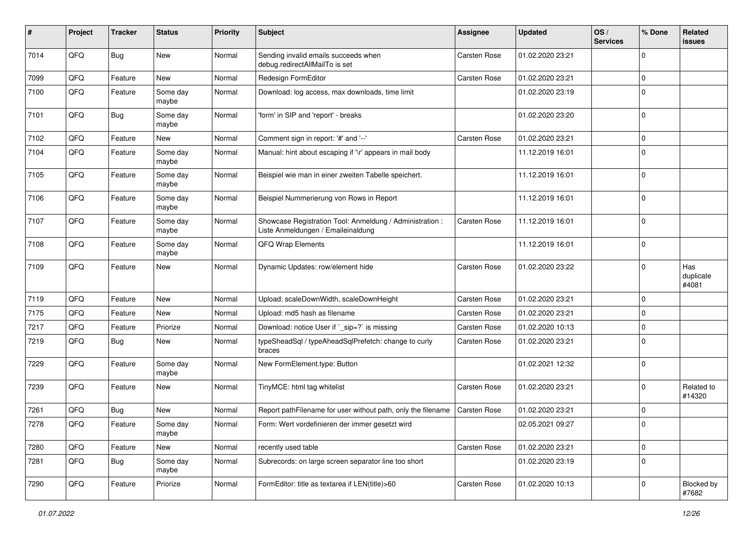| #    | Project | <b>Tracker</b> | <b>Status</b>     | <b>Priority</b> | <b>Subject</b>                                                                                 | <b>Assignee</b>     | <b>Updated</b>   | OS/<br><b>Services</b> | % Done      | Related<br><b>issues</b>  |
|------|---------|----------------|-------------------|-----------------|------------------------------------------------------------------------------------------------|---------------------|------------------|------------------------|-------------|---------------------------|
| 7014 | QFQ     | Bug            | <b>New</b>        | Normal          | Sending invalid emails succeeds when<br>debug.redirectAllMailTo is set                         | <b>Carsten Rose</b> | 01.02.2020 23:21 |                        | 0           |                           |
| 7099 | QFQ     | Feature        | New               | Normal          | Redesign FormEditor                                                                            | <b>Carsten Rose</b> | 01.02.2020 23:21 |                        | $\mathbf 0$ |                           |
| 7100 | QFQ     | Feature        | Some day<br>maybe | Normal          | Download: log access, max downloads, time limit                                                |                     | 01.02.2020 23:19 |                        | $\mathbf 0$ |                           |
| 7101 | QFQ     | <b>Bug</b>     | Some day<br>maybe | Normal          | 'form' in SIP and 'report' - breaks                                                            |                     | 01.02.2020 23:20 |                        | $\Omega$    |                           |
| 7102 | QFQ     | Feature        | <b>New</b>        | Normal          | Comment sign in report: '#' and '--'                                                           | Carsten Rose        | 01.02.2020 23:21 |                        | $\Omega$    |                           |
| 7104 | QFQ     | Feature        | Some day<br>maybe | Normal          | Manual: hint about escaping if '\r' appears in mail body                                       |                     | 11.12.2019 16:01 |                        | 0           |                           |
| 7105 | QFQ     | Feature        | Some day<br>maybe | Normal          | Beispiel wie man in einer zweiten Tabelle speichert.                                           |                     | 11.12.2019 16:01 |                        | $\mathbf 0$ |                           |
| 7106 | QFQ     | Feature        | Some day<br>maybe | Normal          | Beispiel Nummerierung von Rows in Report                                                       |                     | 11.12.2019 16:01 |                        | 0           |                           |
| 7107 | QFQ     | Feature        | Some day<br>maybe | Normal          | Showcase Registration Tool: Anmeldung / Administration :<br>Liste Anmeldungen / Emaileinaldung | Carsten Rose        | 11.12.2019 16:01 |                        | $\mathbf 0$ |                           |
| 7108 | QFQ     | Feature        | Some day<br>maybe | Normal          | QFQ Wrap Elements                                                                              |                     | 11.12.2019 16:01 |                        | $\Omega$    |                           |
| 7109 | QFQ     | Feature        | New               | Normal          | Dynamic Updates: row/element hide                                                              | Carsten Rose        | 01.02.2020 23:22 |                        | $\Omega$    | Has<br>duplicate<br>#4081 |
| 7119 | QFQ     | Feature        | <b>New</b>        | Normal          | Upload: scaleDownWidth, scaleDownHeight                                                        | <b>Carsten Rose</b> | 01.02.2020 23:21 |                        | $\Omega$    |                           |
| 7175 | QFQ     | Feature        | <b>New</b>        | Normal          | Upload: md5 hash as filename                                                                   | <b>Carsten Rose</b> | 01.02.2020 23:21 |                        | 0           |                           |
| 7217 | QFQ     | Feature        | Priorize          | Normal          | Download: notice User if `_sip=?` is missing                                                   | <b>Carsten Rose</b> | 01.02.2020 10:13 |                        | 0           |                           |
| 7219 | QFQ     | Bug            | New               | Normal          | typeSheadSql / typeAheadSqlPrefetch: change to curly<br>braces                                 | <b>Carsten Rose</b> | 01.02.2020 23:21 |                        | $\Omega$    |                           |
| 7229 | QFQ     | Feature        | Some day<br>maybe | Normal          | New FormElement.type: Button                                                                   |                     | 01.02.2021 12:32 |                        | 0           |                           |
| 7239 | QFQ     | Feature        | New               | Normal          | TinyMCE: html tag whitelist                                                                    | Carsten Rose        | 01.02.2020 23:21 |                        | $\Omega$    | Related to<br>#14320      |
| 7261 | QFQ     | Bug            | <b>New</b>        | Normal          | Report pathFilename for user without path, only the filename                                   | <b>Carsten Rose</b> | 01.02.2020 23:21 |                        | 0           |                           |
| 7278 | QFQ     | Feature        | Some day<br>maybe | Normal          | Form: Wert vordefinieren der immer gesetzt wird                                                |                     | 02.05.2021 09:27 |                        | $\Omega$    |                           |
| 7280 | QFQ     | Feature        | New               | Normal          | recently used table                                                                            | <b>Carsten Rose</b> | 01.02.2020 23:21 |                        | $\mathbf 0$ |                           |
| 7281 | QFQ     | <b>Bug</b>     | Some day<br>maybe | Normal          | Subrecords: on large screen separator line too short                                           |                     | 01.02.2020 23:19 |                        | $\mathbf 0$ |                           |
| 7290 | QFQ     | Feature        | Priorize          | Normal          | FormEditor: title as textarea if LEN(title)>60                                                 | Carsten Rose        | 01.02.2020 10:13 |                        | $\mathbf 0$ | Blocked by<br>#7682       |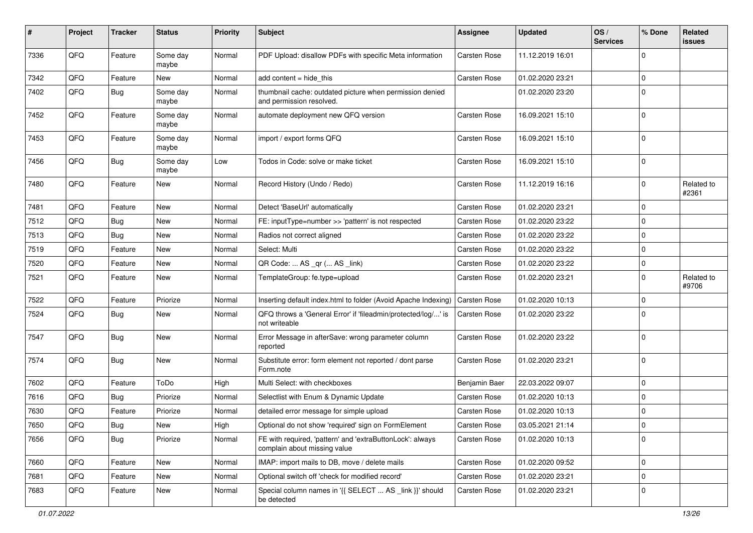| #    | Project | <b>Tracker</b> | <b>Status</b>     | <b>Priority</b> | <b>Subject</b>                                                                            | <b>Assignee</b>     | <b>Updated</b>   | OS/<br><b>Services</b> | % Done         | Related<br>issues   |
|------|---------|----------------|-------------------|-----------------|-------------------------------------------------------------------------------------------|---------------------|------------------|------------------------|----------------|---------------------|
| 7336 | QFQ     | Feature        | Some day<br>maybe | Normal          | PDF Upload: disallow PDFs with specific Meta information                                  | <b>Carsten Rose</b> | 11.12.2019 16:01 |                        | $\Omega$       |                     |
| 7342 | QFQ     | Feature        | New               | Normal          | add content = hide_this                                                                   | Carsten Rose        | 01.02.2020 23:21 |                        | 0              |                     |
| 7402 | QFQ     | <b>Bug</b>     | Some day<br>maybe | Normal          | thumbnail cache: outdated picture when permission denied<br>and permission resolved.      |                     | 01.02.2020 23:20 |                        | $\Omega$       |                     |
| 7452 | QFQ     | Feature        | Some day<br>maybe | Normal          | automate deployment new QFQ version                                                       | Carsten Rose        | 16.09.2021 15:10 |                        | $\Omega$       |                     |
| 7453 | QFQ     | Feature        | Some day<br>maybe | Normal          | import / export forms QFQ                                                                 | Carsten Rose        | 16.09.2021 15:10 |                        | $\Omega$       |                     |
| 7456 | QFQ     | <b>Bug</b>     | Some day<br>maybe | Low             | Todos in Code: solve or make ticket                                                       | Carsten Rose        | 16.09.2021 15:10 |                        | 0              |                     |
| 7480 | QFQ     | Feature        | New               | Normal          | Record History (Undo / Redo)                                                              | Carsten Rose        | 11.12.2019 16:16 |                        | $\mathbf 0$    | Related to<br>#2361 |
| 7481 | QFQ     | Feature        | New               | Normal          | Detect 'BaseUrl' automatically                                                            | Carsten Rose        | 01.02.2020 23:21 |                        | $\mathbf 0$    |                     |
| 7512 | QFQ     | <b>Bug</b>     | <b>New</b>        | Normal          | FE: inputType=number >> 'pattern' is not respected                                        | Carsten Rose        | 01.02.2020 23:22 |                        | $\mathbf 0$    |                     |
| 7513 | QFQ     | Bug            | New               | Normal          | Radios not correct aligned                                                                | <b>Carsten Rose</b> | 01.02.2020 23:22 |                        | $\Omega$       |                     |
| 7519 | QFQ     | Feature        | New               | Normal          | Select: Multi                                                                             | Carsten Rose        | 01.02.2020 23:22 |                        | $\Omega$       |                     |
| 7520 | QFQ     | Feature        | New               | Normal          | QR Code:  AS _qr ( AS _link)                                                              | Carsten Rose        | 01.02.2020 23:22 |                        | $\Omega$       |                     |
| 7521 | QFQ     | Feature        | New               | Normal          | TemplateGroup: fe.type=upload                                                             | Carsten Rose        | 01.02.2020 23:21 |                        | $\Omega$       | Related to<br>#9706 |
| 7522 | QFQ     | Feature        | Priorize          | Normal          | Inserting default index.html to folder (Avoid Apache Indexing)                            | <b>Carsten Rose</b> | 01.02.2020 10:13 |                        | $\Omega$       |                     |
| 7524 | QFQ     | Bug            | New               | Normal          | QFQ throws a 'General Error' if 'fileadmin/protected/log/' is<br>not writeable            | <b>Carsten Rose</b> | 01.02.2020 23:22 |                        | $\Omega$       |                     |
| 7547 | QFQ     | Bug            | New               | Normal          | Error Message in afterSave: wrong parameter column<br>reported                            | Carsten Rose        | 01.02.2020 23:22 |                        | $\Omega$       |                     |
| 7574 | QFQ     | Bug            | <b>New</b>        | Normal          | Substitute error: form element not reported / dont parse<br>Form.note                     | Carsten Rose        | 01.02.2020 23:21 |                        | 0              |                     |
| 7602 | QFQ     | Feature        | ToDo              | High            | Multi Select: with checkboxes                                                             | Benjamin Baer       | 22.03.2022 09:07 |                        | $\mathbf 0$    |                     |
| 7616 | QFQ     | <b>Bug</b>     | Priorize          | Normal          | Selectlist with Enum & Dynamic Update                                                     | Carsten Rose        | 01.02.2020 10:13 |                        | $\Omega$       |                     |
| 7630 | QFQ     | Feature        | Priorize          | Normal          | detailed error message for simple upload                                                  | Carsten Rose        | 01.02.2020 10:13 |                        | $\Omega$       |                     |
| 7650 | QFG     | Bug            | New               | High            | Optional do not show 'required' sign on FormElement                                       | Carsten Rose        | 03.05.2021 21:14 |                        | $\overline{0}$ |                     |
| 7656 | QFQ     | Bug            | Priorize          | Normal          | FE with required, 'pattern' and 'extraButtonLock': always<br>complain about missing value | Carsten Rose        | 01.02.2020 10:13 |                        | $\overline{0}$ |                     |
| 7660 | QFQ     | Feature        | New               | Normal          | IMAP: import mails to DB, move / delete mails                                             | Carsten Rose        | 01.02.2020 09:52 |                        | 0              |                     |
| 7681 | QFQ     | Feature        | New               | Normal          | Optional switch off 'check for modified record'                                           | Carsten Rose        | 01.02.2020 23:21 |                        | $\mathbf 0$    |                     |
| 7683 | QFQ     | Feature        | New               | Normal          | Special column names in '{{ SELECT  AS _link }}' should<br>be detected                    | Carsten Rose        | 01.02.2020 23:21 |                        | 0              |                     |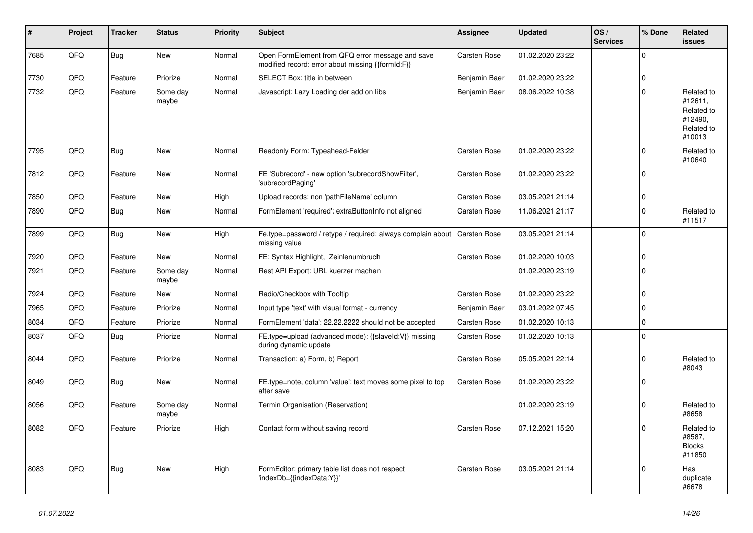| #    | Project | <b>Tracker</b> | <b>Status</b>     | <b>Priority</b> | <b>Subject</b>                                                                                        | Assignee            | <b>Updated</b>   | OS/<br><b>Services</b> | % Done         | Related<br><b>issues</b>                                               |
|------|---------|----------------|-------------------|-----------------|-------------------------------------------------------------------------------------------------------|---------------------|------------------|------------------------|----------------|------------------------------------------------------------------------|
| 7685 | QFQ     | <b>Bug</b>     | New               | Normal          | Open FormElement from QFQ error message and save<br>modified record: error about missing {{formId:F}} | <b>Carsten Rose</b> | 01.02.2020 23:22 |                        | $\Omega$       |                                                                        |
| 7730 | QFQ     | Feature        | Priorize          | Normal          | SELECT Box: title in between                                                                          | Benjamin Baer       | 01.02.2020 23:22 |                        | $\mathbf{0}$   |                                                                        |
| 7732 | QFQ     | Feature        | Some day<br>maybe | Normal          | Javascript: Lazy Loading der add on libs                                                              | Benjamin Baer       | 08.06.2022 10:38 |                        | $\mathbf 0$    | Related to<br>#12611,<br>Related to<br>#12490.<br>Related to<br>#10013 |
| 7795 | QFQ     | Bug            | <b>New</b>        | Normal          | Readonly Form: Typeahead-Felder                                                                       | Carsten Rose        | 01.02.2020 23:22 |                        | $\Omega$       | Related to<br>#10640                                                   |
| 7812 | QFQ     | Feature        | <b>New</b>        | Normal          | FE 'Subrecord' - new option 'subrecordShowFilter',<br>'subrecordPaging'                               | <b>Carsten Rose</b> | 01.02.2020 23:22 |                        | $\mathbf{0}$   |                                                                        |
| 7850 | QFQ     | Feature        | <b>New</b>        | High            | Upload records: non 'pathFileName' column                                                             | <b>Carsten Rose</b> | 03.05.2021 21:14 |                        | $\mathbf{0}$   |                                                                        |
| 7890 | QFQ     | <b>Bug</b>     | New               | Normal          | FormElement 'required': extraButtonInfo not aligned                                                   | <b>Carsten Rose</b> | 11.06.2021 21:17 |                        | $\overline{0}$ | Related to<br>#11517                                                   |
| 7899 | QFQ     | <b>Bug</b>     | <b>New</b>        | High            | Fe.type=password / retype / required: always complain about<br>missing value                          | Carsten Rose        | 03.05.2021 21:14 |                        | $\Omega$       |                                                                        |
| 7920 | QFQ     | Feature        | <b>New</b>        | Normal          | FE: Syntax Highlight, Zeinlenumbruch                                                                  | <b>Carsten Rose</b> | 01.02.2020 10:03 |                        | $\mathbf 0$    |                                                                        |
| 7921 | QFQ     | Feature        | Some day<br>maybe | Normal          | Rest API Export: URL kuerzer machen                                                                   |                     | 01.02.2020 23:19 |                        | $\overline{0}$ |                                                                        |
| 7924 | QFQ     | Feature        | New               | Normal          | Radio/Checkbox with Tooltip                                                                           | Carsten Rose        | 01.02.2020 23:22 |                        | $\Omega$       |                                                                        |
| 7965 | QFQ     | Feature        | Priorize          | Normal          | Input type 'text' with visual format - currency                                                       | Benjamin Baer       | 03.01.2022 07:45 |                        | $\mathbf{0}$   |                                                                        |
| 8034 | QFQ     | Feature        | Priorize          | Normal          | FormElement 'data': 22.22.2222 should not be accepted                                                 | <b>Carsten Rose</b> | 01.02.2020 10:13 |                        | $\mathbf 0$    |                                                                        |
| 8037 | QFQ     | <b>Bug</b>     | Priorize          | Normal          | FE.type=upload (advanced mode): {{slaveld:V}} missing<br>during dynamic update                        | <b>Carsten Rose</b> | 01.02.2020 10:13 |                        | $\overline{0}$ |                                                                        |
| 8044 | QFQ     | Feature        | Priorize          | Normal          | Transaction: a) Form, b) Report                                                                       | <b>Carsten Rose</b> | 05.05.2021 22:14 |                        | $\mathbf 0$    | Related to<br>#8043                                                    |
| 8049 | QFQ     | <b>Bug</b>     | <b>New</b>        | Normal          | FE.type=note, column 'value': text moves some pixel to top<br>after save                              | Carsten Rose        | 01.02.2020 23:22 |                        | $\Omega$       |                                                                        |
| 8056 | QFQ     | Feature        | Some day<br>maybe | Normal          | Termin Organisation (Reservation)                                                                     |                     | 01.02.2020 23:19 |                        | $\mathbf 0$    | Related to<br>#8658                                                    |
| 8082 | QFQ     | Feature        | Priorize          | High            | Contact form without saving record                                                                    | <b>Carsten Rose</b> | 07.12.2021 15:20 |                        | $\Omega$       | Related to<br>#8587.<br><b>Blocks</b><br>#11850                        |
| 8083 | QFQ     | Bug            | New               | High            | FormEditor: primary table list does not respect<br>'indexDb={{indexData:Y}}'                          | <b>Carsten Rose</b> | 03.05.2021 21:14 |                        | $\mathbf 0$    | Has<br>duplicate<br>#6678                                              |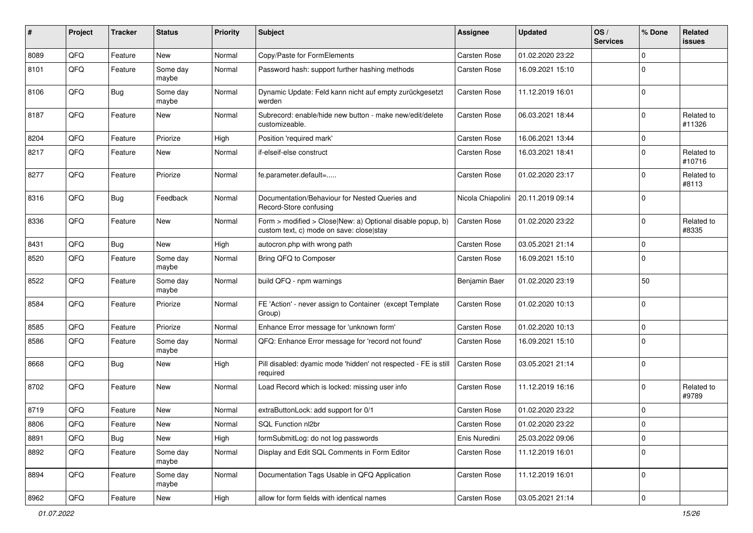| #    | Project | <b>Tracker</b> | <b>Status</b>     | <b>Priority</b> | Subject                                                                                                | <b>Assignee</b>     | <b>Updated</b>   | OS/<br><b>Services</b> | % Done         | Related<br><b>issues</b> |
|------|---------|----------------|-------------------|-----------------|--------------------------------------------------------------------------------------------------------|---------------------|------------------|------------------------|----------------|--------------------------|
| 8089 | QFQ     | Feature        | New               | Normal          | Copy/Paste for FormElements                                                                            | <b>Carsten Rose</b> | 01.02.2020 23:22 |                        | $\Omega$       |                          |
| 8101 | QFQ     | Feature        | Some day<br>maybe | Normal          | Password hash: support further hashing methods                                                         | Carsten Rose        | 16.09.2021 15:10 |                        | $\Omega$       |                          |
| 8106 | QFQ     | <b>Bug</b>     | Some day<br>maybe | Normal          | Dynamic Update: Feld kann nicht auf empty zurückgesetzt<br>werden                                      | Carsten Rose        | 11.12.2019 16:01 |                        | $\Omega$       |                          |
| 8187 | QFQ     | Feature        | New               | Normal          | Subrecord: enable/hide new button - make new/edit/delete<br>customizeable.                             | Carsten Rose        | 06.03.2021 18:44 |                        | $\Omega$       | Related to<br>#11326     |
| 8204 | QFQ     | Feature        | Priorize          | High            | Position 'required mark'                                                                               | Carsten Rose        | 16.06.2021 13:44 |                        | 0              |                          |
| 8217 | QFQ     | Feature        | New               | Normal          | if-elseif-else construct                                                                               | Carsten Rose        | 16.03.2021 18:41 |                        | $\Omega$       | Related to<br>#10716     |
| 8277 | QFQ     | Feature        | Priorize          | Normal          | fe.parameter.default=                                                                                  | <b>Carsten Rose</b> | 01.02.2020 23:17 |                        | $\Omega$       | Related to<br>#8113      |
| 8316 | QFQ     | <b>Bug</b>     | Feedback          | Normal          | Documentation/Behaviour for Nested Queries and<br>Record-Store confusing                               | Nicola Chiapolini   | 20.11.2019 09:14 |                        | $\mathbf 0$    |                          |
| 8336 | QFQ     | Feature        | New               | Normal          | Form > modified > Close New: a) Optional disable popup, b)<br>custom text, c) mode on save: closelstay | <b>Carsten Rose</b> | 01.02.2020 23:22 |                        | $\Omega$       | Related to<br>#8335      |
| 8431 | QFQ     | <b>Bug</b>     | New               | High            | autocron.php with wrong path                                                                           | <b>Carsten Rose</b> | 03.05.2021 21:14 |                        | $\mathbf 0$    |                          |
| 8520 | QFQ     | Feature        | Some day<br>maybe | Normal          | Bring QFQ to Composer                                                                                  | <b>Carsten Rose</b> | 16.09.2021 15:10 |                        | $\mathbf 0$    |                          |
| 8522 | QFQ     | Feature        | Some day<br>maybe | Normal          | build QFQ - npm warnings                                                                               | Benjamin Baer       | 01.02.2020 23:19 |                        | 50             |                          |
| 8584 | QFQ     | Feature        | Priorize          | Normal          | FE 'Action' - never assign to Container (except Template<br>Group)                                     | Carsten Rose        | 01.02.2020 10:13 |                        | $\Omega$       |                          |
| 8585 | QFQ     | Feature        | Priorize          | Normal          | Enhance Error message for 'unknown form'                                                               | <b>Carsten Rose</b> | 01.02.2020 10:13 |                        | 0              |                          |
| 8586 | QFQ     | Feature        | Some day<br>maybe | Normal          | QFQ: Enhance Error message for 'record not found'                                                      | <b>Carsten Rose</b> | 16.09.2021 15:10 |                        | $\mathbf 0$    |                          |
| 8668 | QFQ     | Bug            | New               | High            | Pill disabled: dyamic mode 'hidden' not respected - FE is still<br>required                            | <b>Carsten Rose</b> | 03.05.2021 21:14 |                        | $\Omega$       |                          |
| 8702 | QFQ     | Feature        | New               | Normal          | Load Record which is locked: missing user info                                                         | <b>Carsten Rose</b> | 11.12.2019 16:16 |                        | $\Omega$       | Related to<br>#9789      |
| 8719 | QFQ     | Feature        | New               | Normal          | extraButtonLock: add support for 0/1                                                                   | <b>Carsten Rose</b> | 01.02.2020 23:22 |                        | $\mathbf 0$    |                          |
| 8806 | QFQ     | Feature        | New               | Normal          | SQL Function nl2br                                                                                     | <b>Carsten Rose</b> | 01.02.2020 23:22 |                        | $\Omega$       |                          |
| 8891 | QFQ     | <b>Bug</b>     | New               | High            | formSubmitLog: do not log passwords                                                                    | Enis Nuredini       | 25.03.2022 09:06 |                        | $\mathbf 0$    |                          |
| 8892 | QFQ     | Feature        | Some day<br>maybe | Normal          | Display and Edit SQL Comments in Form Editor                                                           | Carsten Rose        | 11.12.2019 16:01 |                        | $\mathbf 0$    |                          |
| 8894 | QFQ     | Feature        | Some day<br>maybe | Normal          | Documentation Tags Usable in QFQ Application                                                           | Carsten Rose        | 11.12.2019 16:01 |                        | $\overline{0}$ |                          |
| 8962 | QFG     | Feature        | New               | High            | allow for form fields with identical names                                                             | Carsten Rose        | 03.05.2021 21:14 |                        | $\mathbf 0$    |                          |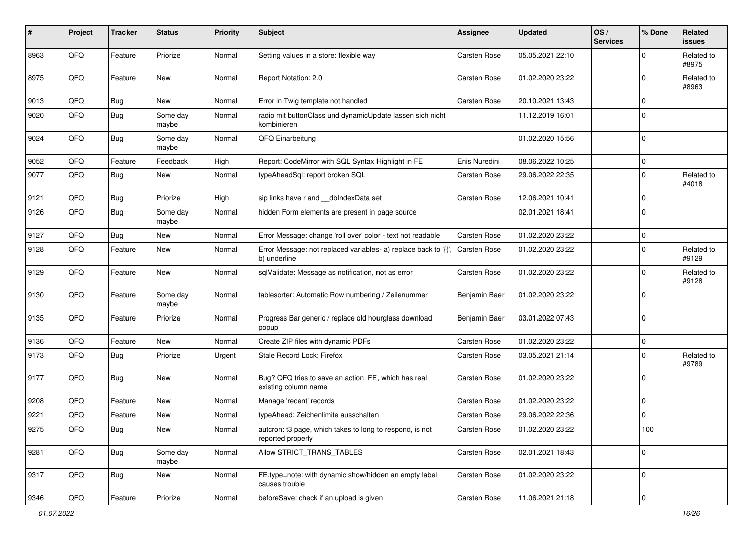| #    | Project | <b>Tracker</b> | <b>Status</b>     | <b>Priority</b> | <b>Subject</b>                                                                 | <b>Assignee</b>     | <b>Updated</b>   | OS/<br><b>Services</b> | % Done         | Related<br><b>issues</b> |
|------|---------|----------------|-------------------|-----------------|--------------------------------------------------------------------------------|---------------------|------------------|------------------------|----------------|--------------------------|
| 8963 | QFQ     | Feature        | Priorize          | Normal          | Setting values in a store: flexible way                                        | Carsten Rose        | 05.05.2021 22:10 |                        | ∩              | Related to<br>#8975      |
| 8975 | QFQ     | Feature        | New               | Normal          | Report Notation: 2.0                                                           | <b>Carsten Rose</b> | 01.02.2020 23:22 |                        | $\mathbf 0$    | Related to<br>#8963      |
| 9013 | QFQ     | <b>Bug</b>     | New               | Normal          | Error in Twig template not handled                                             | <b>Carsten Rose</b> | 20.10.2021 13:43 |                        | $\Omega$       |                          |
| 9020 | QFQ     | <b>Bug</b>     | Some day<br>maybe | Normal          | radio mit buttonClass und dynamicUpdate lassen sich nicht<br>kombinieren       |                     | 11.12.2019 16:01 |                        | $\Omega$       |                          |
| 9024 | QFQ     | <b>Bug</b>     | Some day<br>maybe | Normal          | QFQ Einarbeitung                                                               |                     | 01.02.2020 15:56 |                        | $\Omega$       |                          |
| 9052 | QFQ     | Feature        | Feedback          | High            | Report: CodeMirror with SQL Syntax Highlight in FE                             | Enis Nuredini       | 08.06.2022 10:25 |                        | $\mathbf 0$    |                          |
| 9077 | QFQ     | <b>Bug</b>     | New               | Normal          | typeAheadSql: report broken SQL                                                | Carsten Rose        | 29.06.2022 22:35 |                        | $\mathbf 0$    | Related to<br>#4018      |
| 9121 | QFQ     | <b>Bug</b>     | Priorize          | High            | sip links have r and __dbIndexData set                                         | Carsten Rose        | 12.06.2021 10:41 |                        | $\Omega$       |                          |
| 9126 | QFQ     | <b>Bug</b>     | Some day<br>maybe | Normal          | hidden Form elements are present in page source                                |                     | 02.01.2021 18:41 |                        | $\Omega$       |                          |
| 9127 | QFQ     | <b>Bug</b>     | New               | Normal          | Error Message: change 'roll over' color - text not readable                    | <b>Carsten Rose</b> | 01.02.2020 23:22 |                        | $\mathbf 0$    |                          |
| 9128 | QFQ     | Feature        | New               | Normal          | Error Message: not replaced variables- a) replace back to '{{'<br>b) underline | <b>Carsten Rose</b> | 01.02.2020 23:22 |                        | $\mathbf 0$    | Related to<br>#9129      |
| 9129 | QFQ     | Feature        | New               | Normal          | sqlValidate: Message as notification, not as error                             | <b>Carsten Rose</b> | 01.02.2020 23:22 |                        | $\Omega$       | Related to<br>#9128      |
| 9130 | QFQ     | Feature        | Some day<br>maybe | Normal          | tablesorter: Automatic Row numbering / Zeilenummer                             | Benjamin Baer       | 01.02.2020 23:22 |                        | $\Omega$       |                          |
| 9135 | QFQ     | Feature        | Priorize          | Normal          | Progress Bar generic / replace old hourglass download<br>popup                 | Benjamin Baer       | 03.01.2022 07:43 |                        | $\Omega$       |                          |
| 9136 | QFQ     | Feature        | New               | Normal          | Create ZIP files with dynamic PDFs                                             | <b>Carsten Rose</b> | 01.02.2020 23:22 |                        | $\mathbf 0$    |                          |
| 9173 | QFQ     | <b>Bug</b>     | Priorize          | Urgent          | Stale Record Lock: Firefox                                                     | <b>Carsten Rose</b> | 03.05.2021 21:14 |                        | $\Omega$       | Related to<br>#9789      |
| 9177 | QFQ     | <b>Bug</b>     | New               | Normal          | Bug? QFQ tries to save an action FE, which has real<br>existing column name    | <b>Carsten Rose</b> | 01.02.2020 23:22 |                        | $\overline{0}$ |                          |
| 9208 | QFQ     | Feature        | New               | Normal          | Manage 'recent' records                                                        | <b>Carsten Rose</b> | 01.02.2020 23:22 |                        | $\Omega$       |                          |
| 9221 | QFQ     | Feature        | New               | Normal          | typeAhead: Zeichenlimite ausschalten                                           | Carsten Rose        | 29.06.2022 22:36 |                        | $\Omega$       |                          |
| 9275 | QFQ     | Bug            | New               | Normal          | auteron: t3 page, which takes to long to respond, is not<br>reported properly  | <b>Carsten Rose</b> | 01.02.2020 23:22 |                        | 100            |                          |
| 9281 | QFQ     | <b>Bug</b>     | Some day<br>maybe | Normal          | Allow STRICT_TRANS_TABLES                                                      | Carsten Rose        | 02.01.2021 18:43 |                        | $\mathbf 0$    |                          |
| 9317 | QFQ     | <b>Bug</b>     | New               | Normal          | FE.type=note: with dynamic show/hidden an empty label<br>causes trouble        | Carsten Rose        | 01.02.2020 23:22 |                        | $\overline{0}$ |                          |
| 9346 | QFG     | Feature        | Priorize          | Normal          | beforeSave: check if an upload is given                                        | Carsten Rose        | 11.06.2021 21:18 |                        | $\mathbf{0}$   |                          |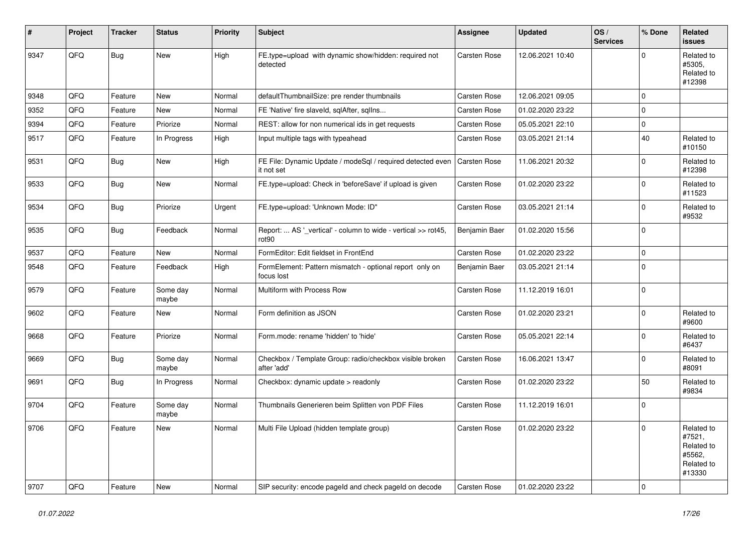| $\sharp$ | Project | <b>Tracker</b> | <b>Status</b>     | <b>Priority</b> | <b>Subject</b>                                                           | <b>Assignee</b>     | <b>Updated</b>   | OS/<br><b>Services</b> | % Done      | Related<br><b>issues</b>                                             |
|----------|---------|----------------|-------------------|-----------------|--------------------------------------------------------------------------|---------------------|------------------|------------------------|-------------|----------------------------------------------------------------------|
| 9347     | QFQ     | Bug            | <b>New</b>        | High            | FE.type=upload with dynamic show/hidden: required not<br>detected        | <b>Carsten Rose</b> | 12.06.2021 10:40 |                        | $\mathbf 0$ | Related to<br>#5305,<br>Related to<br>#12398                         |
| 9348     | QFQ     | Feature        | <b>New</b>        | Normal          | defaultThumbnailSize: pre render thumbnails                              | <b>Carsten Rose</b> | 12.06.2021 09:05 |                        | $\mathbf 0$ |                                                                      |
| 9352     | QFQ     | Feature        | New               | Normal          | FE 'Native' fire slaveld, sqlAfter, sqllns                               | <b>Carsten Rose</b> | 01.02.2020 23:22 |                        | $\mathbf 0$ |                                                                      |
| 9394     | QFQ     | Feature        | Priorize          | Normal          | REST: allow for non numerical ids in get requests                        | Carsten Rose        | 05.05.2021 22:10 |                        | $\mathbf 0$ |                                                                      |
| 9517     | QFQ     | Feature        | In Progress       | High            | Input multiple tags with typeahead                                       | <b>Carsten Rose</b> | 03.05.2021 21:14 |                        | 40          | Related to<br>#10150                                                 |
| 9531     | QFQ     | <b>Bug</b>     | New               | High            | FE File: Dynamic Update / modeSql / required detected even<br>it not set | <b>Carsten Rose</b> | 11.06.2021 20:32 |                        | $\mathbf 0$ | Related to<br>#12398                                                 |
| 9533     | QFQ     | <b>Bug</b>     | New               | Normal          | FE.type=upload: Check in 'beforeSave' if upload is given                 | Carsten Rose        | 01.02.2020 23:22 |                        | $\mathbf 0$ | Related to<br>#11523                                                 |
| 9534     | QFQ     | <b>Bug</b>     | Priorize          | Urgent          | FE.type=upload: 'Unknown Mode: ID"                                       | <b>Carsten Rose</b> | 03.05.2021 21:14 |                        | $\mathbf 0$ | Related to<br>#9532                                                  |
| 9535     | QFQ     | Bug            | Feedback          | Normal          | Report:  AS '_vertical' - column to wide - vertical >> rot45,<br>rot90   | Benjamin Baer       | 01.02.2020 15:56 |                        | $\mathbf 0$ |                                                                      |
| 9537     | QFQ     | Feature        | New               | Normal          | FormEditor: Edit fieldset in FrontEnd                                    | <b>Carsten Rose</b> | 01.02.2020 23:22 |                        | $\pmb{0}$   |                                                                      |
| 9548     | QFQ     | Feature        | Feedback          | High            | FormElement: Pattern mismatch - optional report only on<br>focus lost    | Benjamin Baer       | 03.05.2021 21:14 |                        | $\mathbf 0$ |                                                                      |
| 9579     | QFQ     | Feature        | Some day<br>maybe | Normal          | Multiform with Process Row                                               | <b>Carsten Rose</b> | 11.12.2019 16:01 |                        | $\pmb{0}$   |                                                                      |
| 9602     | QFQ     | Feature        | New               | Normal          | Form definition as JSON                                                  | <b>Carsten Rose</b> | 01.02.2020 23:21 |                        | $\mathbf 0$ | Related to<br>#9600                                                  |
| 9668     | QFQ     | Feature        | Priorize          | Normal          | Form.mode: rename 'hidden' to 'hide'                                     | <b>Carsten Rose</b> | 05.05.2021 22:14 |                        | $\mathbf 0$ | Related to<br>#6437                                                  |
| 9669     | QFQ     | <b>Bug</b>     | Some day<br>maybe | Normal          | Checkbox / Template Group: radio/checkbox visible broken<br>after 'add'  | <b>Carsten Rose</b> | 16.06.2021 13:47 |                        | $\mathbf 0$ | Related to<br>#8091                                                  |
| 9691     | QFQ     | <b>Bug</b>     | In Progress       | Normal          | Checkbox: dynamic update > readonly                                      | Carsten Rose        | 01.02.2020 23:22 |                        | 50          | Related to<br>#9834                                                  |
| 9704     | QFQ     | Feature        | Some day<br>maybe | Normal          | Thumbnails Generieren beim Splitten von PDF Files                        | <b>Carsten Rose</b> | 11.12.2019 16:01 |                        | $\mathbf 0$ |                                                                      |
| 9706     | QFQ     | Feature        | New               | Normal          | Multi File Upload (hidden template group)                                | <b>Carsten Rose</b> | 01.02.2020 23:22 |                        | $\mathbf 0$ | Related to<br>#7521,<br>Related to<br>#5562,<br>Related to<br>#13330 |
| 9707     | QFQ     | Feature        | New               | Normal          | SIP security: encode pageld and check pageld on decode                   | Carsten Rose        | 01.02.2020 23:22 |                        | $\mathbf 0$ |                                                                      |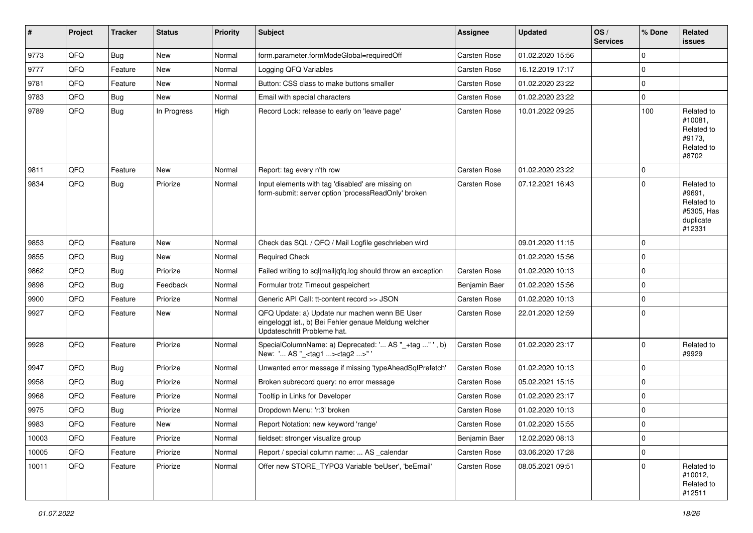| ∦     | Project | <b>Tracker</b> | <b>Status</b> | <b>Priority</b> | <b>Subject</b>                                                                                                                        | <b>Assignee</b>     | <b>Updated</b>   | OS/<br><b>Services</b> | % Done      | <b>Related</b><br><b>issues</b>                                         |
|-------|---------|----------------|---------------|-----------------|---------------------------------------------------------------------------------------------------------------------------------------|---------------------|------------------|------------------------|-------------|-------------------------------------------------------------------------|
| 9773  | QFQ     | Bug            | New           | Normal          | form.parameter.formModeGlobal=requiredOff                                                                                             | <b>Carsten Rose</b> | 01.02.2020 15:56 |                        | $\Omega$    |                                                                         |
| 9777  | QFQ     | Feature        | New           | Normal          | Logging QFQ Variables                                                                                                                 | Carsten Rose        | 16.12.2019 17:17 |                        | $\mathbf 0$ |                                                                         |
| 9781  | QFQ     | Feature        | New           | Normal          | Button: CSS class to make buttons smaller                                                                                             | Carsten Rose        | 01.02.2020 23:22 |                        | $\Omega$    |                                                                         |
| 9783  | QFQ     | Bug            | New           | Normal          | Email with special characters                                                                                                         | Carsten Rose        | 01.02.2020 23:22 |                        | $\mathbf 0$ |                                                                         |
| 9789  | QFQ     | <b>Bug</b>     | In Progress   | High            | Record Lock: release to early on 'leave page'                                                                                         | <b>Carsten Rose</b> | 10.01.2022 09:25 |                        | 100         | Related to<br>#10081.<br>Related to<br>#9173,<br>Related to<br>#8702    |
| 9811  | QFQ     | Feature        | <b>New</b>    | Normal          | Report: tag every n'th row                                                                                                            | Carsten Rose        | 01.02.2020 23:22 |                        | $\Omega$    |                                                                         |
| 9834  | QFQ     | Bug            | Priorize      | Normal          | Input elements with tag 'disabled' are missing on<br>form-submit: server option 'processReadOnly' broken                              | <b>Carsten Rose</b> | 07.12.2021 16:43 |                        | $\Omega$    | Related to<br>#9691,<br>Related to<br>#5305, Has<br>duplicate<br>#12331 |
| 9853  | QFQ     | Feature        | New           | Normal          | Check das SQL / QFQ / Mail Logfile geschrieben wird                                                                                   |                     | 09.01.2020 11:15 |                        | $\Omega$    |                                                                         |
| 9855  | QFQ     | Bug            | <b>New</b>    | Normal          | <b>Reauired Check</b>                                                                                                                 |                     | 01.02.2020 15:56 |                        | $\mathbf 0$ |                                                                         |
| 9862  | QFQ     | Bug            | Priorize      | Normal          | Failed writing to sql mail qfq.log should throw an exception                                                                          | <b>Carsten Rose</b> | 01.02.2020 10:13 |                        | $\Omega$    |                                                                         |
| 9898  | QFQ     | Bug            | Feedback      | Normal          | Formular trotz Timeout gespeichert                                                                                                    | Benjamin Baer       | 01.02.2020 15:56 |                        | $\Omega$    |                                                                         |
| 9900  | QFQ     | Feature        | Priorize      | Normal          | Generic API Call: tt-content record >> JSON                                                                                           | Carsten Rose        | 01.02.2020 10:13 |                        | $\Omega$    |                                                                         |
| 9927  | QFQ     | Feature        | New           | Normal          | QFQ Update: a) Update nur machen wenn BE User<br>eingeloggt ist., b) Bei Fehler genaue Meldung welcher<br>Updateschritt Probleme hat. | <b>Carsten Rose</b> | 22.01.2020 12:59 |                        | $\Omega$    |                                                                         |
| 9928  | QFQ     | Feature        | Priorize      | Normal          | SpecialColumnName: a) Deprecated: ' AS "_+tag "', b)<br>New: ' AS "_ <tag1><tag2>"'</tag2></tag1>                                     | <b>Carsten Rose</b> | 01.02.2020 23:17 |                        | $\Omega$    | Related to<br>#9929                                                     |
| 9947  | QFQ     | <b>Bug</b>     | Priorize      | Normal          | Unwanted error message if missing 'typeAheadSqlPrefetch'                                                                              | <b>Carsten Rose</b> | 01.02.2020 10:13 |                        | $\Omega$    |                                                                         |
| 9958  | QFQ     | <b>Bug</b>     | Priorize      | Normal          | Broken subrecord query: no error message                                                                                              | Carsten Rose        | 05.02.2021 15:15 |                        | $\mathbf 0$ |                                                                         |
| 9968  | QFQ     | Feature        | Priorize      | Normal          | Tooltip in Links for Developer                                                                                                        | Carsten Rose        | 01.02.2020 23:17 |                        | $\Omega$    |                                                                         |
| 9975  | QFQ     | Bug            | Priorize      | Normal          | Dropdown Menu: 'r:3' broken                                                                                                           | <b>Carsten Rose</b> | 01.02.2020 10:13 |                        | $\Omega$    |                                                                         |
| 9983  | QFQ     | Feature        | New           | Normal          | Report Notation: new keyword 'range'                                                                                                  | <b>Carsten Rose</b> | 01.02.2020 15:55 |                        | $\mathbf 0$ |                                                                         |
| 10003 | QFQ     | Feature        | Priorize      | Normal          | fieldset: stronger visualize group                                                                                                    | Benjamin Baer       | 12.02.2020 08:13 |                        | $\mathbf 0$ |                                                                         |
| 10005 | QFQ     | Feature        | Priorize      | Normal          | Report / special column name:  AS _calendar                                                                                           | Carsten Rose        | 03.06.2020 17:28 |                        | $\mathbf 0$ |                                                                         |
| 10011 | QFQ     | Feature        | Priorize      | Normal          | Offer new STORE_TYPO3 Variable 'beUser', 'beEmail'                                                                                    | Carsten Rose        | 08.05.2021 09:51 |                        | $\Omega$    | Related to<br>#10012,<br>Related to<br>#12511                           |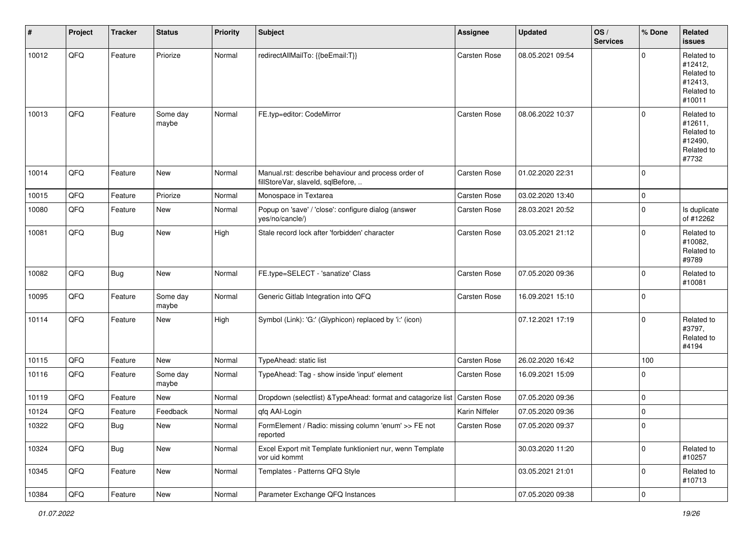| #     | Project | <b>Tracker</b> | <b>Status</b>     | <b>Priority</b> | <b>Subject</b>                                                                           | <b>Assignee</b>     | <b>Updated</b>   | OS/<br><b>Services</b> | % Done              | Related<br><b>issues</b>                                               |
|-------|---------|----------------|-------------------|-----------------|------------------------------------------------------------------------------------------|---------------------|------------------|------------------------|---------------------|------------------------------------------------------------------------|
| 10012 | QFQ     | Feature        | Priorize          | Normal          | redirectAllMailTo: {{beEmail:T}}                                                         | Carsten Rose        | 08.05.2021 09:54 |                        | $\Omega$            | Related to<br>#12412,<br>Related to<br>#12413,<br>Related to<br>#10011 |
| 10013 | QFQ     | Feature        | Some day<br>maybe | Normal          | FE.typ=editor: CodeMirror                                                                | <b>Carsten Rose</b> | 08.06.2022 10:37 |                        | $\Omega$            | Related to<br>#12611,<br>Related to<br>#12490,<br>Related to<br>#7732  |
| 10014 | QFQ     | Feature        | New               | Normal          | Manual.rst: describe behaviour and process order of<br>fillStoreVar, slaveId, sqlBefore, | <b>Carsten Rose</b> | 01.02.2020 22:31 |                        | $\mathbf 0$         |                                                                        |
| 10015 | QFQ     | Feature        | Priorize          | Normal          | Monospace in Textarea                                                                    | <b>Carsten Rose</b> | 03.02.2020 13:40 |                        | $\mathbf 0$         |                                                                        |
| 10080 | QFQ     | Feature        | New               | Normal          | Popup on 'save' / 'close': configure dialog (answer<br>yes/no/cancle/)                   | Carsten Rose        | 28.03.2021 20:52 |                        | $\mathbf 0$         | Is duplicate<br>of #12262                                              |
| 10081 | QFQ     | <b>Bug</b>     | New               | High            | Stale record lock after 'forbidden' character                                            | <b>Carsten Rose</b> | 03.05.2021 21:12 |                        | $\mathbf 0$         | Related to<br>#10082,<br>Related to<br>#9789                           |
| 10082 | QFQ     | <b>Bug</b>     | New               | Normal          | FE.type=SELECT - 'sanatize' Class                                                        | <b>Carsten Rose</b> | 07.05.2020 09:36 |                        | $\mathbf 0$         | Related to<br>#10081                                                   |
| 10095 | QFQ     | Feature        | Some day<br>maybe | Normal          | Generic Gitlab Integration into QFQ                                                      | Carsten Rose        | 16.09.2021 15:10 |                        | $\mathbf 0$         |                                                                        |
| 10114 | QFQ     | Feature        | New               | High            | Symbol (Link): 'G:' (Glyphicon) replaced by 'i:' (icon)                                  |                     | 07.12.2021 17:19 |                        | $\mathbf 0$         | Related to<br>#3797,<br>Related to<br>#4194                            |
| 10115 | QFQ     | Feature        | New               | Normal          | TypeAhead: static list                                                                   | <b>Carsten Rose</b> | 26.02.2020 16:42 |                        | 100                 |                                                                        |
| 10116 | QFQ     | Feature        | Some day<br>maybe | Normal          | TypeAhead: Tag - show inside 'input' element                                             | Carsten Rose        | 16.09.2021 15:09 |                        | $\Omega$            |                                                                        |
| 10119 | QFQ     | Feature        | New               | Normal          | Dropdown (selectlist) & TypeAhead: format and catagorize list                            | Carsten Rose        | 07.05.2020 09:36 |                        | $\mathbf 0$         |                                                                        |
| 10124 | QFQ     | Feature        | Feedback          | Normal          | qfq AAI-Login                                                                            | Karin Niffeler      | 07.05.2020 09:36 |                        | $\mathbf 0$         |                                                                        |
| 10322 | QFG     | Bug            | New               | Normal          | FormElement / Radio: missing column 'enum' >> FE not<br>reported                         | Carsten Rose        | 07.05.2020 09:37 |                        | $\mathbf 0$         |                                                                        |
| 10324 | QFQ     | <b>Bug</b>     | New               | Normal          | Excel Export mit Template funktioniert nur, wenn Template<br>vor uid kommt               |                     | 30.03.2020 11:20 |                        | $\mathbf 0$         | Related to<br>#10257                                                   |
| 10345 | QFQ     | Feature        | New               | Normal          | Templates - Patterns QFQ Style                                                           |                     | 03.05.2021 21:01 |                        | $\mathbf 0$         | Related to<br>#10713                                                   |
| 10384 | QFQ     | Feature        | New               | Normal          | Parameter Exchange QFQ Instances                                                         |                     | 07.05.2020 09:38 |                        | $\mathsf{O}\xspace$ |                                                                        |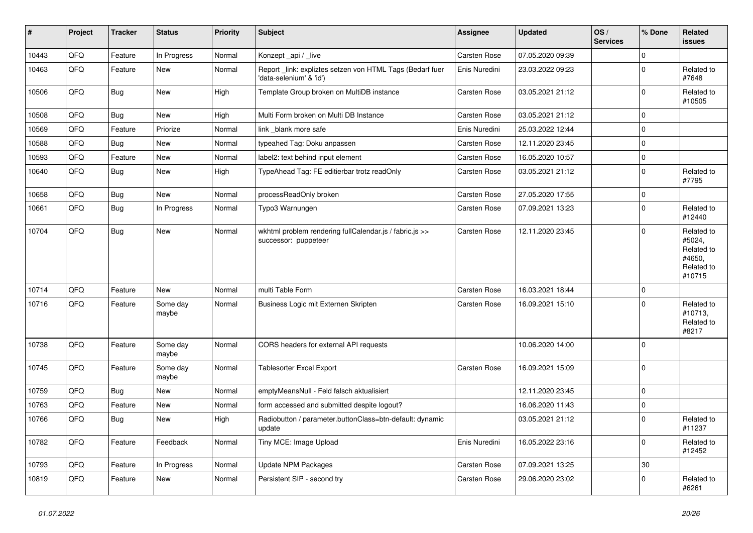| #     | Project | <b>Tracker</b> | <b>Status</b>     | <b>Priority</b> | <b>Subject</b>                                                                      | <b>Assignee</b>     | <b>Updated</b>   | OS/<br><b>Services</b> | % Done      | Related<br>issues                                                    |
|-------|---------|----------------|-------------------|-----------------|-------------------------------------------------------------------------------------|---------------------|------------------|------------------------|-------------|----------------------------------------------------------------------|
| 10443 | QFQ     | Feature        | In Progress       | Normal          | Konzept_api / _live                                                                 | Carsten Rose        | 07.05.2020 09:39 |                        | $\mathbf 0$ |                                                                      |
| 10463 | QFQ     | Feature        | New               | Normal          | Report_link: expliztes setzen von HTML Tags (Bedarf fuer<br>'data-selenium' & 'id') | Enis Nuredini       | 23.03.2022 09:23 |                        | $\mathbf 0$ | Related to<br>#7648                                                  |
| 10506 | QFQ     | <b>Bug</b>     | New               | High            | Template Group broken on MultiDB instance                                           | <b>Carsten Rose</b> | 03.05.2021 21:12 |                        | $\mathbf 0$ | Related to<br>#10505                                                 |
| 10508 | QFQ     | Bug            | New               | High            | Multi Form broken on Multi DB Instance                                              | <b>Carsten Rose</b> | 03.05.2021 21:12 |                        | $\mathbf 0$ |                                                                      |
| 10569 | QFQ     | Feature        | Priorize          | Normal          | link _blank more safe                                                               | Enis Nuredini       | 25.03.2022 12:44 |                        | $\mathbf 0$ |                                                                      |
| 10588 | QFQ     | Bug            | New               | Normal          | typeahed Tag: Doku anpassen                                                         | <b>Carsten Rose</b> | 12.11.2020 23:45 |                        | $\mathbf 0$ |                                                                      |
| 10593 | QFQ     | Feature        | New               | Normal          | label2: text behind input element                                                   | Carsten Rose        | 16.05.2020 10:57 |                        | $\mathbf 0$ |                                                                      |
| 10640 | QFQ     | Bug            | New               | High            | TypeAhead Tag: FE editierbar trotz readOnly                                         | <b>Carsten Rose</b> | 03.05.2021 21:12 |                        | $\mathbf 0$ | Related to<br>#7795                                                  |
| 10658 | QFQ     | <b>Bug</b>     | <b>New</b>        | Normal          | processReadOnly broken                                                              | Carsten Rose        | 27.05.2020 17:55 |                        | $\mathbf 0$ |                                                                      |
| 10661 | QFQ     | Bug            | In Progress       | Normal          | Typo3 Warnungen                                                                     | <b>Carsten Rose</b> | 07.09.2021 13:23 |                        | $\mathbf 0$ | Related to<br>#12440                                                 |
| 10704 | QFQ     | <b>Bug</b>     | New               | Normal          | wkhtml problem rendering fullCalendar.js / fabric.js >><br>successor: puppeteer     | <b>Carsten Rose</b> | 12.11.2020 23:45 |                        | $\mathbf 0$ | Related to<br>#5024,<br>Related to<br>#4650,<br>Related to<br>#10715 |
| 10714 | QFQ     | Feature        | New               | Normal          | multi Table Form                                                                    | <b>Carsten Rose</b> | 16.03.2021 18:44 |                        | $\mathbf 0$ |                                                                      |
| 10716 | QFQ     | Feature        | Some day<br>maybe | Normal          | Business Logic mit Externen Skripten                                                | <b>Carsten Rose</b> | 16.09.2021 15:10 |                        | $\Omega$    | Related to<br>#10713,<br>Related to<br>#8217                         |
| 10738 | QFQ     | Feature        | Some day<br>maybe | Normal          | CORS headers for external API requests                                              |                     | 10.06.2020 14:00 |                        | $\mathbf 0$ |                                                                      |
| 10745 | QFQ     | Feature        | Some day<br>maybe | Normal          | <b>Tablesorter Excel Export</b>                                                     | <b>Carsten Rose</b> | 16.09.2021 15:09 |                        | $\mathbf 0$ |                                                                      |
| 10759 | QFQ     | <b>Bug</b>     | New               | Normal          | emptyMeansNull - Feld falsch aktualisiert                                           |                     | 12.11.2020 23:45 |                        | $\mathbf 0$ |                                                                      |
| 10763 | QFQ     | Feature        | New               | Normal          | form accessed and submitted despite logout?                                         |                     | 16.06.2020 11:43 |                        | $\mathbf 0$ |                                                                      |
| 10766 | QFQ     | <b>Bug</b>     | New               | High            | Radiobutton / parameter.buttonClass=btn-default: dynamic<br>update                  |                     | 03.05.2021 21:12 |                        | $\mathbf 0$ | Related to<br>#11237                                                 |
| 10782 | QFQ     | Feature        | Feedback          | Normal          | Tiny MCE: Image Upload                                                              | Enis Nuredini       | 16.05.2022 23:16 |                        | $\mathbf 0$ | Related to<br>#12452                                                 |
| 10793 | QFO     | Feature        | In Progress       | Normal          | Update NPM Packages                                                                 | Carsten Rose        | 07.09.2021 13:25 |                        | 30          |                                                                      |
| 10819 | QFQ     | Feature        | New               | Normal          | Persistent SIP - second try                                                         | Carsten Rose        | 29.06.2020 23:02 |                        | $\mathbf 0$ | Related to<br>#6261                                                  |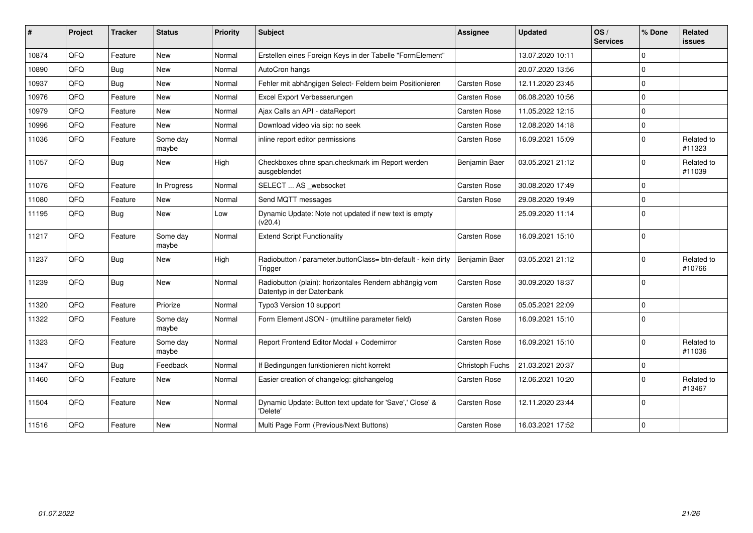| #     | Project | <b>Tracker</b> | <b>Status</b>     | <b>Priority</b> | Subject                                                                             | <b>Assignee</b>     | <b>Updated</b>   | OS/<br><b>Services</b> | % Done       | <b>Related</b><br><b>issues</b> |
|-------|---------|----------------|-------------------|-----------------|-------------------------------------------------------------------------------------|---------------------|------------------|------------------------|--------------|---------------------------------|
| 10874 | QFQ     | Feature        | <b>New</b>        | Normal          | Erstellen eines Foreign Keys in der Tabelle "FormElement"                           |                     | 13.07.2020 10:11 |                        | <sup>0</sup> |                                 |
| 10890 | QFQ     | Bug            | <b>New</b>        | Normal          | AutoCron hangs                                                                      |                     | 20.07.2020 13:56 |                        | $\Omega$     |                                 |
| 10937 | QFQ     | Bug            | <b>New</b>        | Normal          | Fehler mit abhängigen Select- Feldern beim Positionieren                            | Carsten Rose        | 12.11.2020 23:45 |                        | $\Omega$     |                                 |
| 10976 | QFQ     | Feature        | New               | Normal          | Excel Export Verbesserungen                                                         | <b>Carsten Rose</b> | 06.08.2020 10:56 |                        | $\mathbf 0$  |                                 |
| 10979 | QFQ     | Feature        | <b>New</b>        | Normal          | Ajax Calls an API - dataReport                                                      | Carsten Rose        | 11.05.2022 12:15 |                        | $\Omega$     |                                 |
| 10996 | QFQ     | Feature        | <b>New</b>        | Normal          | Download video via sip: no seek                                                     | <b>Carsten Rose</b> | 12.08.2020 14:18 |                        | 0            |                                 |
| 11036 | QFQ     | Feature        | Some day<br>maybe | Normal          | inline report editor permissions                                                    | <b>Carsten Rose</b> | 16.09.2021 15:09 |                        | <sup>0</sup> | Related to<br>#11323            |
| 11057 | QFQ     | <b>Bug</b>     | <b>New</b>        | High            | Checkboxes ohne span.checkmark im Report werden<br>ausgeblendet                     | Benjamin Baer       | 03.05.2021 21:12 |                        | $\Omega$     | Related to<br>#11039            |
| 11076 | QFQ     | Feature        | In Progress       | Normal          | SELECT  AS _websocket                                                               | <b>Carsten Rose</b> | 30.08.2020 17:49 |                        | 0            |                                 |
| 11080 | QFQ     | Feature        | New               | Normal          | Send MQTT messages                                                                  | <b>Carsten Rose</b> | 29.08.2020 19:49 |                        | 0            |                                 |
| 11195 | QFQ     | Bug            | New               | Low             | Dynamic Update: Note not updated if new text is empty<br>(v20.4)                    |                     | 25.09.2020 11:14 |                        | $\Omega$     |                                 |
| 11217 | QFQ     | Feature        | Some day<br>maybe | Normal          | <b>Extend Script Functionality</b>                                                  | <b>Carsten Rose</b> | 16.09.2021 15:10 |                        | $\Omega$     |                                 |
| 11237 | QFQ     | Bug            | <b>New</b>        | High            | Radiobutton / parameter.buttonClass= btn-default - kein dirty<br>Trigger            | Benjamin Baer       | 03.05.2021 21:12 |                        | <sup>0</sup> | Related to<br>#10766            |
| 11239 | QFQ     | <b>Bug</b>     | <b>New</b>        | Normal          | Radiobutton (plain): horizontales Rendern abhängig vom<br>Datentyp in der Datenbank | <b>Carsten Rose</b> | 30.09.2020 18:37 |                        | $\Omega$     |                                 |
| 11320 | QFQ     | Feature        | Priorize          | Normal          | Typo3 Version 10 support                                                            | <b>Carsten Rose</b> | 05.05.2021 22:09 |                        | 0            |                                 |
| 11322 | QFQ     | Feature        | Some day<br>maybe | Normal          | Form Element JSON - (multiline parameter field)                                     | Carsten Rose        | 16.09.2021 15:10 |                        | 0            |                                 |
| 11323 | QFQ     | Feature        | Some day<br>maybe | Normal          | Report Frontend Editor Modal + Codemirror                                           | Carsten Rose        | 16.09.2021 15:10 |                        | $\Omega$     | Related to<br>#11036            |
| 11347 | QFQ     | Bug            | Feedback          | Normal          | If Bedingungen funktionieren nicht korrekt                                          | Christoph Fuchs     | 21.03.2021 20:37 |                        | 0            |                                 |
| 11460 | QFQ     | Feature        | <b>New</b>        | Normal          | Easier creation of changelog: gitchangelog                                          | Carsten Rose        | 12.06.2021 10:20 |                        | <sup>0</sup> | Related to<br>#13467            |
| 11504 | QFQ     | Feature        | <b>New</b>        | Normal          | Dynamic Update: Button text update for 'Save',' Close' &<br>'Delete'                | Carsten Rose        | 12.11.2020 23:44 |                        | $\Omega$     |                                 |
| 11516 | QFQ     | Feature        | <b>New</b>        | Normal          | Multi Page Form (Previous/Next Buttons)                                             | Carsten Rose        | 16.03.2021 17:52 |                        | $\Omega$     |                                 |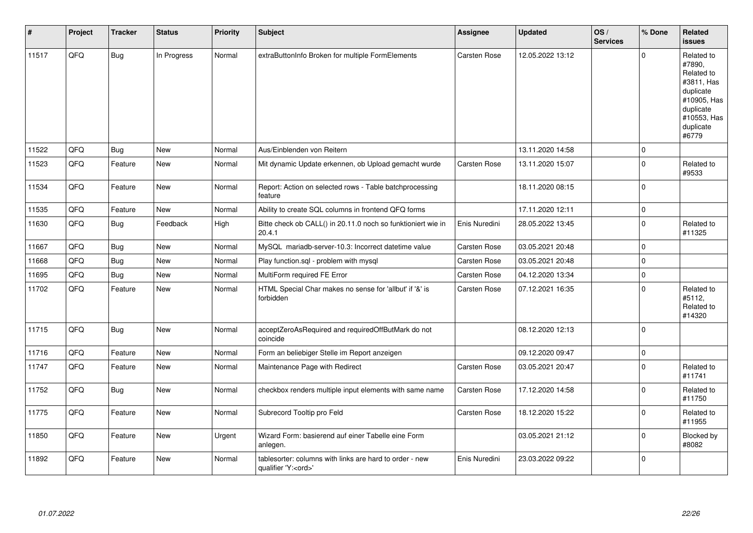| $\vert$ # | Project | <b>Tracker</b> | <b>Status</b> | <b>Priority</b> | Subject                                                                               | <b>Assignee</b>     | <b>Updated</b>   | OS/<br><b>Services</b> | % Done       | <b>Related</b><br><b>issues</b>                                                                                                |
|-----------|---------|----------------|---------------|-----------------|---------------------------------------------------------------------------------------|---------------------|------------------|------------------------|--------------|--------------------------------------------------------------------------------------------------------------------------------|
| 11517     | QFQ     | <b>Bug</b>     | In Progress   | Normal          | extraButtonInfo Broken for multiple FormElements                                      | Carsten Rose        | 12.05.2022 13:12 |                        | $\Omega$     | Related to<br>#7890,<br>Related to<br>#3811, Has<br>duplicate<br>#10905, Has<br>duplicate<br>#10553, Has<br>duplicate<br>#6779 |
| 11522     | QFQ     | <b>Bug</b>     | <b>New</b>    | Normal          | Aus/Einblenden von Reitern                                                            |                     | 13.11.2020 14:58 |                        | $\mathbf 0$  |                                                                                                                                |
| 11523     | QFQ     | Feature        | <b>New</b>    | Normal          | Mit dynamic Update erkennen, ob Upload gemacht wurde                                  | Carsten Rose        | 13.11.2020 15:07 |                        | $\Omega$     | Related to<br>#9533                                                                                                            |
| 11534     | QFQ     | Feature        | New           | Normal          | Report: Action on selected rows - Table batchprocessing<br>feature                    |                     | 18.11.2020 08:15 |                        | $\mathbf{0}$ |                                                                                                                                |
| 11535     | QFQ     | Feature        | <b>New</b>    | Normal          | Ability to create SQL columns in frontend QFQ forms                                   |                     | 17.11.2020 12:11 |                        | $\pmb{0}$    |                                                                                                                                |
| 11630     | QFQ     | <b>Bug</b>     | Feedback      | High            | Bitte check ob CALL() in 20.11.0 noch so funktioniert wie in<br>20.4.1                | Enis Nuredini       | 28.05.2022 13:45 |                        | $\Omega$     | Related to<br>#11325                                                                                                           |
| 11667     | QFQ     | <b>Bug</b>     | <b>New</b>    | Normal          | MySQL mariadb-server-10.3: Incorrect datetime value                                   | <b>Carsten Rose</b> | 03.05.2021 20:48 |                        | $\mathbf 0$  |                                                                                                                                |
| 11668     | QFQ     | Bug            | New           | Normal          | Play function.sql - problem with mysql                                                | Carsten Rose        | 03.05.2021 20:48 |                        | $\mathbf{0}$ |                                                                                                                                |
| 11695     | QFQ     | Bug            | <b>New</b>    | Normal          | MultiForm required FE Error                                                           | <b>Carsten Rose</b> | 04.12.2020 13:34 |                        | $\mathbf 0$  |                                                                                                                                |
| 11702     | QFQ     | Feature        | <b>New</b>    | Normal          | HTML Special Char makes no sense for 'allbut' if '&' is<br>forbidden                  | <b>Carsten Rose</b> | 07.12.2021 16:35 |                        | $\Omega$     | Related to<br>#5112.<br>Related to<br>#14320                                                                                   |
| 11715     | QFQ     | Bug            | <b>New</b>    | Normal          | acceptZeroAsRequired and requiredOffButMark do not<br>coincide                        |                     | 08.12.2020 12:13 |                        | $\mathbf 0$  |                                                                                                                                |
| 11716     | QFQ     | Feature        | <b>New</b>    | Normal          | Form an beliebiger Stelle im Report anzeigen                                          |                     | 09.12.2020 09:47 |                        | $\mathbf{0}$ |                                                                                                                                |
| 11747     | QFQ     | Feature        | New           | Normal          | Maintenance Page with Redirect                                                        | Carsten Rose        | 03.05.2021 20:47 |                        | $\mathbf{0}$ | Related to<br>#11741                                                                                                           |
| 11752     | QFQ     | Bug            | <b>New</b>    | Normal          | checkbox renders multiple input elements with same name                               | Carsten Rose        | 17.12.2020 14:58 |                        | $\mathbf 0$  | Related to<br>#11750                                                                                                           |
| 11775     | QFQ     | Feature        | <b>New</b>    | Normal          | Subrecord Tooltip pro Feld                                                            | <b>Carsten Rose</b> | 18.12.2020 15:22 |                        | $\mathbf 0$  | Related to<br>#11955                                                                                                           |
| 11850     | QFQ     | Feature        | <b>New</b>    | Urgent          | Wizard Form: basierend auf einer Tabelle eine Form<br>anlegen.                        |                     | 03.05.2021 21:12 |                        | $\Omega$     | Blocked by<br>#8082                                                                                                            |
| 11892     | QFQ     | Feature        | <b>New</b>    | Normal          | tablesorter: columns with links are hard to order - new<br>qualifier 'Y: <ord>'</ord> | Enis Nuredini       | 23.03.2022 09:22 |                        | $\mathbf 0$  |                                                                                                                                |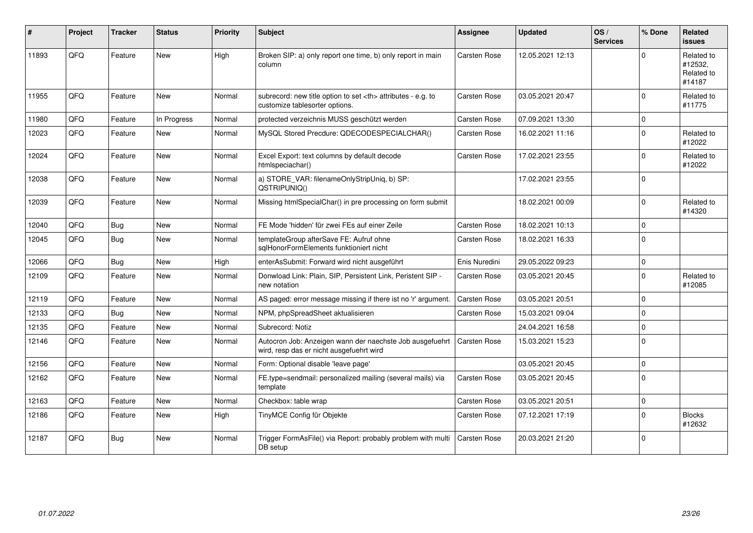| ∦     | Project | <b>Tracker</b> | <b>Status</b> | <b>Priority</b> | <b>Subject</b>                                                                                       | Assignee                                               | <b>Updated</b>      | OS/<br><b>Services</b> | % Done         | <b>Related</b><br><b>issues</b>               |                      |
|-------|---------|----------------|---------------|-----------------|------------------------------------------------------------------------------------------------------|--------------------------------------------------------|---------------------|------------------------|----------------|-----------------------------------------------|----------------------|
| 11893 | QFQ     | Feature        | <b>New</b>    | High            | Broken SIP: a) only report one time, b) only report in main<br>column                                | <b>Carsten Rose</b>                                    | 12.05.2021 12:13    |                        | $\Omega$       | Related to<br>#12532,<br>Related to<br>#14187 |                      |
| 11955 | QFQ     | Feature        | New           | Normal          | subrecord: new title option to set <th> attributes - e.g. to<br/>customize tablesorter options.</th> | attributes - e.g. to<br>customize tablesorter options. | <b>Carsten Rose</b> | 03.05.2021 20:47       |                | $\mathbf 0$                                   | Related to<br>#11775 |
| 11980 | QFQ     | Feature        | In Progress   | Normal          | protected verzeichnis MUSS geschützt werden                                                          | <b>Carsten Rose</b>                                    | 07.09.2021 13:30    |                        | $\mathbf 0$    |                                               |                      |
| 12023 | QFQ     | Feature        | New           | Normal          | MySQL Stored Precdure: QDECODESPECIALCHAR()                                                          | <b>Carsten Rose</b>                                    | 16.02.2021 11:16    |                        | $\overline{0}$ | Related to<br>#12022                          |                      |
| 12024 | QFQ     | Feature        | <b>New</b>    | Normal          | Excel Export: text columns by default decode<br>htmlspeciachar()                                     | Carsten Rose                                           | 17.02.2021 23:55    |                        | $\Omega$       | Related to<br>#12022                          |                      |
| 12038 | QFQ     | Feature        | New           | Normal          | a) STORE_VAR: filenameOnlyStripUniq, b) SP:<br>QSTRIPUNIQ()                                          |                                                        | 17.02.2021 23:55    |                        | $\mathbf{0}$   |                                               |                      |
| 12039 | QFQ     | Feature        | New           | Normal          | Missing htmlSpecialChar() in pre processing on form submit                                           |                                                        | 18.02.2021 00:09    |                        | $\overline{0}$ | Related to<br>#14320                          |                      |
| 12040 | QFQ     | <b>Bug</b>     | <b>New</b>    | Normal          | FE Mode 'hidden' für zwei FEs auf einer Zeile                                                        | Carsten Rose                                           | 18.02.2021 10:13    |                        | $\mathbf{0}$   |                                               |                      |
| 12045 | QFQ     | <b>Bug</b>     | <b>New</b>    | Normal          | templateGroup afterSave FE: Aufruf ohne<br>sqlHonorFormElements funktioniert nicht                   | <b>Carsten Rose</b>                                    | 18.02.2021 16:33    |                        | $\mathbf{0}$   |                                               |                      |
| 12066 | QFQ     | <b>Bug</b>     | <b>New</b>    | High            | enterAsSubmit: Forward wird nicht ausgeführt                                                         | Enis Nuredini                                          | 29.05.2022 09:23    |                        | $\mathbf{0}$   |                                               |                      |
| 12109 | QFQ     | Feature        | <b>New</b>    | Normal          | Donwload Link: Plain, SIP, Persistent Link, Peristent SIP -<br>new notation                          | <b>Carsten Rose</b>                                    | 03.05.2021 20:45    |                        | $\overline{0}$ | Related to<br>#12085                          |                      |
| 12119 | QFQ     | Feature        | <b>New</b>    | Normal          | AS paged: error message missing if there ist no 'r' argument.                                        | <b>Carsten Rose</b>                                    | 03.05.2021 20:51    |                        | $\Omega$       |                                               |                      |
| 12133 | QFQ     | Bug            | <b>New</b>    | Normal          | NPM, phpSpreadSheet aktualisieren                                                                    | <b>Carsten Rose</b>                                    | 15.03.2021 09:04    |                        | $\mathbf 0$    |                                               |                      |
| 12135 | QFQ     | Feature        | New           | Normal          | Subrecord: Notiz                                                                                     |                                                        | 24.04.2021 16:58    |                        | $\mathbf 0$    |                                               |                      |
| 12146 | QFQ     | Feature        | <b>New</b>    | Normal          | Autocron Job: Anzeigen wann der naechste Job ausgefuehrt<br>wird, resp das er nicht ausgefuehrt wird | Carsten Rose                                           | 15.03.2021 15:23    |                        | $\Omega$       |                                               |                      |
| 12156 | QFQ     | Feature        | <b>New</b>    | Normal          | Form: Optional disable 'leave page'                                                                  |                                                        | 03.05.2021 20:45    |                        | $\mathbf{0}$   |                                               |                      |
| 12162 | QFQ     | Feature        | New           | Normal          | FE.type=sendmail: personalized mailing (several mails) via<br>template                               | Carsten Rose                                           | 03.05.2021 20:45    |                        | $\mathbf 0$    |                                               |                      |
| 12163 | QFQ     | Feature        | <b>New</b>    | Normal          | Checkbox: table wrap                                                                                 | Carsten Rose                                           | 03.05.2021 20:51    |                        | $\pmb{0}$      |                                               |                      |
| 12186 | QFQ     | Feature        | New           | High            | TinyMCE Config für Objekte                                                                           | Carsten Rose                                           | 07.12.2021 17:19    |                        | $\mathbf 0$    | <b>Blocks</b><br>#12632                       |                      |
| 12187 | QFQ     | Bug            | <b>New</b>    | Normal          | Trigger FormAsFile() via Report: probably problem with multi<br>DB setup                             | <b>Carsten Rose</b>                                    | 20.03.2021 21:20    |                        | $\overline{0}$ |                                               |                      |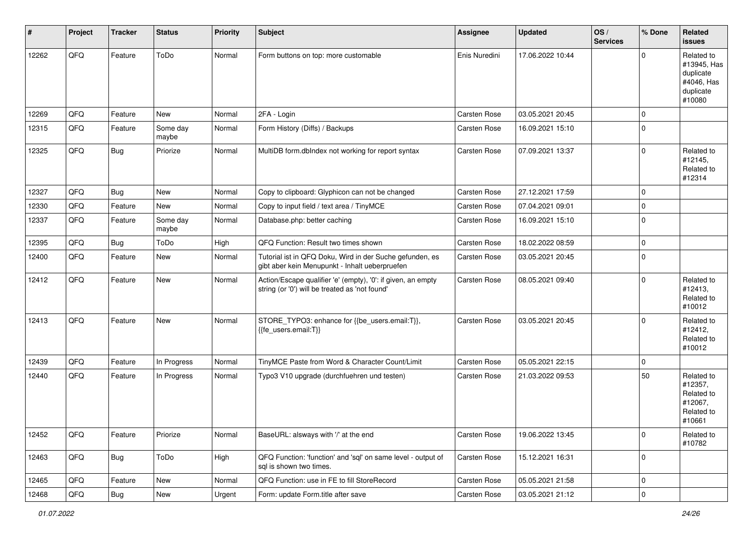| #     | Project | <b>Tracker</b> | <b>Status</b>     | <b>Priority</b> | <b>Subject</b>                                                                                                 | <b>Assignee</b>     | <b>Updated</b>   | OS/<br><b>Services</b> | % Done         | Related<br><b>issues</b>                                                    |
|-------|---------|----------------|-------------------|-----------------|----------------------------------------------------------------------------------------------------------------|---------------------|------------------|------------------------|----------------|-----------------------------------------------------------------------------|
| 12262 | QFQ     | Feature        | ToDo              | Normal          | Form buttons on top: more customable                                                                           | Enis Nuredini       | 17.06.2022 10:44 |                        | $\Omega$       | Related to<br>#13945, Has<br>duplicate<br>#4046, Has<br>duplicate<br>#10080 |
| 12269 | QFQ     | Feature        | New               | Normal          | 2FA - Login                                                                                                    | Carsten Rose        | 03.05.2021 20:45 |                        | $\mathbf{0}$   |                                                                             |
| 12315 | QFQ     | Feature        | Some day<br>maybe | Normal          | Form History (Diffs) / Backups                                                                                 | Carsten Rose        | 16.09.2021 15:10 |                        | $\mathbf{0}$   |                                                                             |
| 12325 | QFQ     | Bug            | Priorize          | Normal          | MultiDB form.dblndex not working for report syntax                                                             | Carsten Rose        | 07.09.2021 13:37 |                        | $\mathbf{0}$   | Related to<br>#12145,<br>Related to<br>#12314                               |
| 12327 | QFQ     | Bug            | New               | Normal          | Copy to clipboard: Glyphicon can not be changed                                                                | Carsten Rose        | 27.12.2021 17:59 |                        | $\mathbf{0}$   |                                                                             |
| 12330 | QFQ     | Feature        | <b>New</b>        | Normal          | Copy to input field / text area / TinyMCE                                                                      | <b>Carsten Rose</b> | 07.04.2021 09:01 |                        | $\mathbf{0}$   |                                                                             |
| 12337 | QFQ     | Feature        | Some day<br>maybe | Normal          | Database.php: better caching                                                                                   | Carsten Rose        | 16.09.2021 15:10 |                        | $\mathbf{0}$   |                                                                             |
| 12395 | QFQ     | <b>Bug</b>     | ToDo              | High            | QFQ Function: Result two times shown                                                                           | Carsten Rose        | 18.02.2022 08:59 |                        | $\mathbf 0$    |                                                                             |
| 12400 | QFQ     | Feature        | New               | Normal          | Tutorial ist in QFQ Doku, Wird in der Suche gefunden, es<br>gibt aber kein Menupunkt - Inhalt ueberpruefen     | Carsten Rose        | 03.05.2021 20:45 |                        | $\mathbf{0}$   |                                                                             |
| 12412 | QFQ     | Feature        | New               | Normal          | Action/Escape qualifier 'e' (empty), '0': if given, an empty<br>string (or '0') will be treated as 'not found' | <b>Carsten Rose</b> | 08.05.2021 09:40 |                        | $\mathbf{0}$   | Related to<br>#12413,<br>Related to<br>#10012                               |
| 12413 | QFQ     | Feature        | New               | Normal          | STORE_TYPO3: enhance for {{be_users.email:T}},<br>{{fe_users.email:T}}                                         | Carsten Rose        | 03.05.2021 20:45 |                        | $\Omega$       | Related to<br>#12412,<br>Related to<br>#10012                               |
| 12439 | QFQ     | Feature        | In Progress       | Normal          | TinyMCE Paste from Word & Character Count/Limit                                                                | Carsten Rose        | 05.05.2021 22:15 |                        | $\mathbf{0}$   |                                                                             |
| 12440 | QFQ     | Feature        | In Progress       | Normal          | Typo3 V10 upgrade (durchfuehren und testen)                                                                    | Carsten Rose        | 21.03.2022 09:53 |                        | 50             | Related to<br>#12357,<br>Related to<br>#12067,<br>Related to<br>#10661      |
| 12452 | QFQ     | Feature        | Priorize          | Normal          | BaseURL: alsways with '/' at the end                                                                           | Carsten Rose        | 19.06.2022 13:45 |                        | $\mathbf 0$    | Related to<br>#10782                                                        |
| 12463 | QFQ     | <b>Bug</b>     | ToDo              | High            | QFQ Function: 'function' and 'sql' on same level - output of<br>sql is shown two times.                        | Carsten Rose        | 15.12.2021 16:31 |                        | $\mathbf 0$    |                                                                             |
| 12465 | QFQ     | Feature        | New               | Normal          | QFQ Function: use in FE to fill StoreRecord                                                                    | Carsten Rose        | 05.05.2021 21:58 |                        | $\mathbf 0$    |                                                                             |
| 12468 | QFG     | <b>Bug</b>     | New               | Urgent          | Form: update Form.title after save                                                                             | Carsten Rose        | 03.05.2021 21:12 |                        | $\overline{0}$ |                                                                             |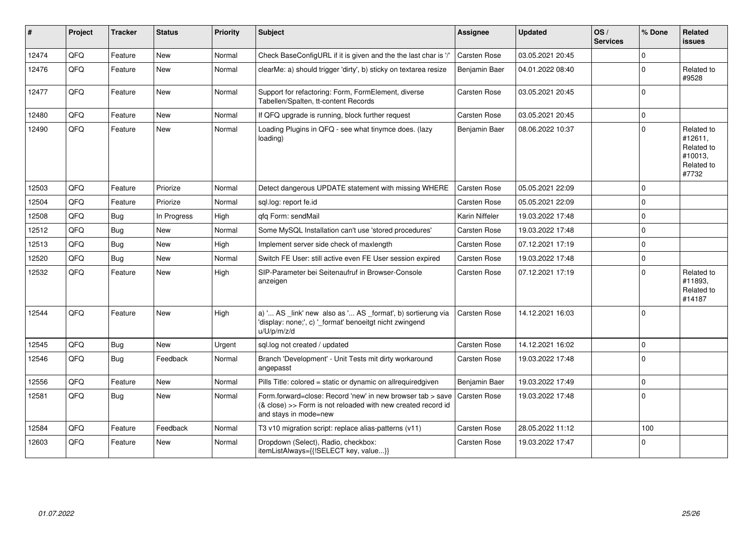| #     | Project | <b>Tracker</b> | <b>Status</b> | <b>Priority</b> | <b>Subject</b>                                                                                                                                      | <b>Assignee</b>     | <b>Updated</b>   | OS/<br><b>Services</b> | % Done       | <b>Related</b><br><b>issues</b>                                       |
|-------|---------|----------------|---------------|-----------------|-----------------------------------------------------------------------------------------------------------------------------------------------------|---------------------|------------------|------------------------|--------------|-----------------------------------------------------------------------|
| 12474 | QFQ     | Feature        | <b>New</b>    | Normal          | Check BaseConfigURL if it is given and the the last char is '/'                                                                                     | Carsten Rose        | 03.05.2021 20:45 |                        | $\Omega$     |                                                                       |
| 12476 | QFQ     | Feature        | <b>New</b>    | Normal          | clearMe: a) should trigger 'dirty', b) sticky on textarea resize                                                                                    | Benjamin Baer       | 04.01.2022 08:40 |                        | $\Omega$     | Related to<br>#9528                                                   |
| 12477 | QFQ     | Feature        | <b>New</b>    | Normal          | Support for refactoring: Form, FormElement, diverse<br>Tabellen/Spalten, tt-content Records                                                         | Carsten Rose        | 03.05.2021 20:45 |                        | $\mathbf{0}$ |                                                                       |
| 12480 | QFQ     | Feature        | <b>New</b>    | Normal          | If QFQ upgrade is running, block further request                                                                                                    | <b>Carsten Rose</b> | 03.05.2021 20:45 |                        | $\mathbf 0$  |                                                                       |
| 12490 | QFQ     | Feature        | <b>New</b>    | Normal          | Loading Plugins in QFQ - see what tinymce does. (lazy<br>loading)                                                                                   | Benjamin Baer       | 08.06.2022 10:37 |                        | $\Omega$     | Related to<br>#12611,<br>Related to<br>#10013.<br>Related to<br>#7732 |
| 12503 | QFQ     | Feature        | Priorize      | Normal          | Detect dangerous UPDATE statement with missing WHERE                                                                                                | <b>Carsten Rose</b> | 05.05.2021 22:09 |                        | $\Omega$     |                                                                       |
| 12504 | QFQ     | Feature        | Priorize      | Normal          | sgl.log: report fe.id                                                                                                                               | <b>Carsten Rose</b> | 05.05.2021 22:09 |                        | $\Omega$     |                                                                       |
| 12508 | QFQ     | <b>Bug</b>     | In Progress   | High            | qfq Form: sendMail                                                                                                                                  | Karin Niffeler      | 19.03.2022 17:48 |                        | $\Omega$     |                                                                       |
| 12512 | QFQ     | Bug            | <b>New</b>    | Normal          | Some MySQL Installation can't use 'stored procedures'                                                                                               | <b>Carsten Rose</b> | 19.03.2022 17:48 |                        | $\pmb{0}$    |                                                                       |
| 12513 | QFQ     | Bug            | <b>New</b>    | High            | Implement server side check of maxlength                                                                                                            | <b>Carsten Rose</b> | 07.12.2021 17:19 |                        | $\mathbf{0}$ |                                                                       |
| 12520 | QFQ     | <b>Bug</b>     | <b>New</b>    | Normal          | Switch FE User: still active even FE User session expired                                                                                           | Carsten Rose        | 19.03.2022 17:48 |                        | $\Omega$     |                                                                       |
| 12532 | QFQ     | Feature        | <b>New</b>    | High            | SIP-Parameter bei Seitenaufruf in Browser-Console<br>anzeigen                                                                                       | Carsten Rose        | 07.12.2021 17:19 |                        | $\Omega$     | Related to<br>#11893,<br>Related to<br>#14187                         |
| 12544 | QFQ     | Feature        | <b>New</b>    | High            | a) ' AS _link' new also as ' AS _format', b) sortierung via<br>'display: none;', c) '_format' benoeitgt nicht zwingend<br>u/U/p/m/z/d               | <b>Carsten Rose</b> | 14.12.2021 16:03 |                        | $\mathbf 0$  |                                                                       |
| 12545 | QFQ     | <b>Bug</b>     | <b>New</b>    | Urgent          | sql.log not created / updated                                                                                                                       | Carsten Rose        | 14.12.2021 16:02 |                        | $\Omega$     |                                                                       |
| 12546 | QFQ     | Bug            | Feedback      | Normal          | Branch 'Development' - Unit Tests mit dirty workaround<br>angepasst                                                                                 | Carsten Rose        | 19.03.2022 17:48 |                        | $\mathbf 0$  |                                                                       |
| 12556 | QFQ     | Feature        | <b>New</b>    | Normal          | Pills Title: colored = static or dynamic on allrequiredgiven                                                                                        | Benjamin Baer       | 19.03.2022 17:49 |                        | $\mathbf 0$  |                                                                       |
| 12581 | QFQ     | <b>Bug</b>     | <b>New</b>    | Normal          | Form.forward=close: Record 'new' in new browser tab > save<br>(& close) >> Form is not reloaded with new created record id<br>and stays in mode=new | <b>Carsten Rose</b> | 19.03.2022 17:48 |                        | $\mathbf{0}$ |                                                                       |
| 12584 | QFQ     | Feature        | Feedback      | Normal          | T3 v10 migration script: replace alias-patterns (v11)                                                                                               | <b>Carsten Rose</b> | 28.05.2022 11:12 |                        | 100          |                                                                       |
| 12603 | QFQ     | Feature        | <b>New</b>    | Normal          | Dropdown (Select), Radio, checkbox:<br>itemListAlways={{!SELECT key, value}}                                                                        | <b>Carsten Rose</b> | 19.03.2022 17:47 |                        | $\Omega$     |                                                                       |